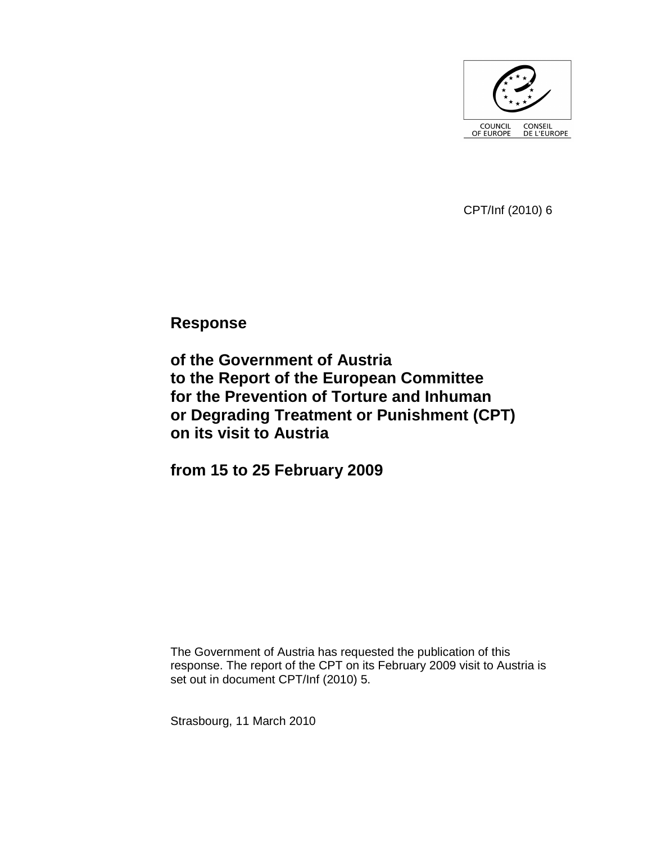

CPT/Inf (2010) 6

**Response** 

**of the Government of Austria to the Report of the European Committee for the Prevention of Torture and Inhuman or Degrading Treatment or Punishment (CPT) on its visit to Austria** 

**from 15 to 25 February 2009** 

The Government of Austria has requested the publication of this response. The report of the CPT on its February 2009 visit to Austria is set out in document CPT/Inf (2010) 5.

Strasbourg, 11 March 2010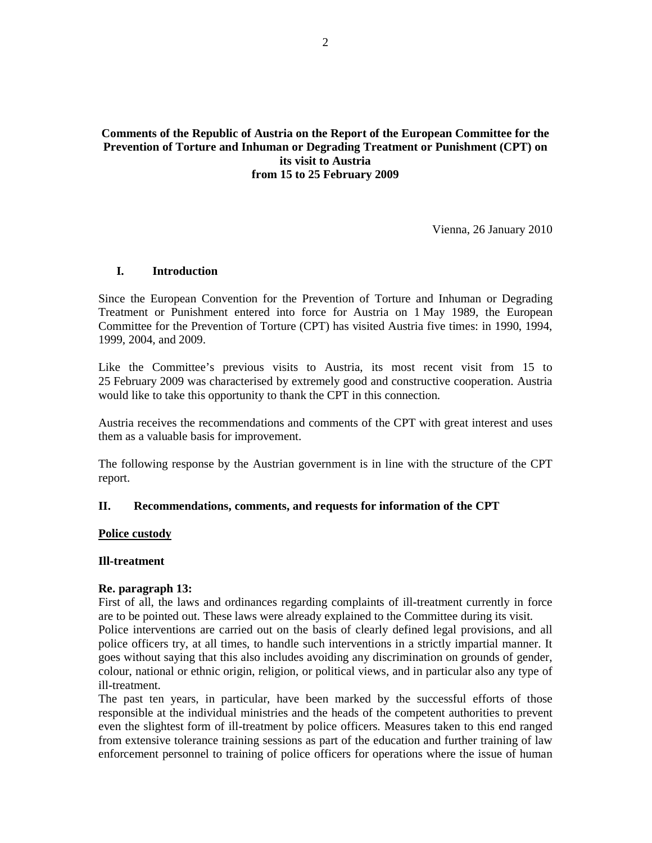# **Comments of the Republic of Austria on the Report of the European Committee for the Prevention of Torture and Inhuman or Degrading Treatment or Punishment (CPT) on its visit to Austria from 15 to 25 February 2009**

Vienna, 26 January 2010

# **I. Introduction**

Since the European Convention for the Prevention of Torture and Inhuman or Degrading Treatment or Punishment entered into force for Austria on 1 May 1989, the European Committee for the Prevention of Torture (CPT) has visited Austria five times: in 1990, 1994, 1999, 2004, and 2009.

Like the Committee's previous visits to Austria, its most recent visit from 15 to 25 February 2009 was characterised by extremely good and constructive cooperation. Austria would like to take this opportunity to thank the CPT in this connection.

Austria receives the recommendations and comments of the CPT with great interest and uses them as a valuable basis for improvement.

The following response by the Austrian government is in line with the structure of the CPT report.

# **II. Recommendations, comments, and requests for information of the CPT**

## **Police custody**

## **Ill-treatment**

## **Re. paragraph 13:**

First of all, the laws and ordinances regarding complaints of ill-treatment currently in force are to be pointed out. These laws were already explained to the Committee during its visit. Police interventions are carried out on the basis of clearly defined legal provisions, and all police officers try, at all times, to handle such interventions in a strictly impartial manner. It goes without saying that this also includes avoiding any discrimination on grounds of gender, colour, national or ethnic origin, religion, or political views, and in particular also any type of ill-treatment.

The past ten years, in particular, have been marked by the successful efforts of those responsible at the individual ministries and the heads of the competent authorities to prevent even the slightest form of ill-treatment by police officers. Measures taken to this end ranged from extensive tolerance training sessions as part of the education and further training of law enforcement personnel to training of police officers for operations where the issue of human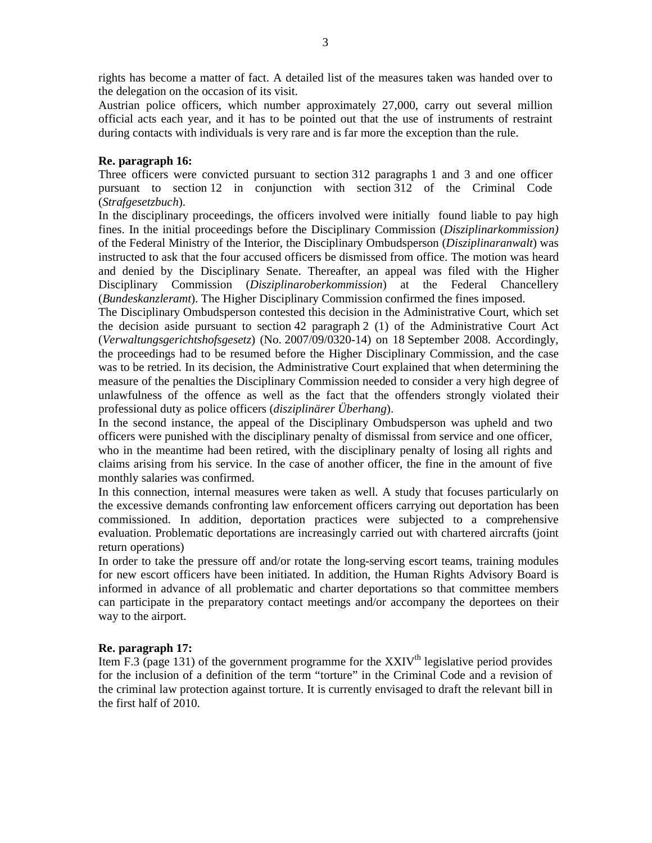rights has become a matter of fact. A detailed list of the measures taken was handed over to the delegation on the occasion of its visit.

Austrian police officers, which number approximately 27,000, carry out several million official acts each year, and it has to be pointed out that the use of instruments of restraint during contacts with individuals is very rare and is far more the exception than the rule.

# **Re. paragraph 16:**

Three officers were convicted pursuant to section 312 paragraphs 1 and 3 and one officer pursuant to section 12 in conjunction with section 312 of the Criminal Code (*Strafgesetzbuch*).

In the disciplinary proceedings, the officers involved were initially found liable to pay high fines. In the initial proceedings before the Disciplinary Commission (*Disziplinarkommission)* of the Federal Ministry of the Interior, the Disciplinary Ombudsperson (*Disziplinaranwalt*) was instructed to ask that the four accused officers be dismissed from office. The motion was heard and denied by the Disciplinary Senate. Thereafter, an appeal was filed with the Higher Disciplinary Commission (*Disziplinaroberkommission*) at the Federal Chancellery (*Bundeskanzleramt*). The Higher Disciplinary Commission confirmed the fines imposed.

The Disciplinary Ombudsperson contested this decision in the Administrative Court, which set the decision aside pursuant to section 42 paragraph 2 (1) of the Administrative Court Act (*Verwaltungsgerichtshofsgesetz*) (No. 2007/09/0320-14) on 18 September 2008. Accordingly, the proceedings had to be resumed before the Higher Disciplinary Commission, and the case was to be retried. In its decision, the Administrative Court explained that when determining the measure of the penalties the Disciplinary Commission needed to consider a very high degree of unlawfulness of the offence as well as the fact that the offenders strongly violated their professional duty as police officers (*disziplinärer Überhang*).

In the second instance, the appeal of the Disciplinary Ombudsperson was upheld and two officers were punished with the disciplinary penalty of dismissal from service and one officer, who in the meantime had been retired, with the disciplinary penalty of losing all rights and claims arising from his service. In the case of another officer, the fine in the amount of five monthly salaries was confirmed.

In this connection, internal measures were taken as well. A study that focuses particularly on the excessive demands confronting law enforcement officers carrying out deportation has been commissioned. In addition, deportation practices were subjected to a comprehensive evaluation. Problematic deportations are increasingly carried out with chartered aircrafts (joint return operations)

In order to take the pressure off and/or rotate the long-serving escort teams, training modules for new escort officers have been initiated. In addition, the Human Rights Advisory Board is informed in advance of all problematic and charter deportations so that committee members can participate in the preparatory contact meetings and/or accompany the deportees on their way to the airport.

## **Re. paragraph 17:**

Item F.3 (page 131) of the government programme for the  $XXIV<sup>th</sup>$  legislative period provides for the inclusion of a definition of the term "torture" in the Criminal Code and a revision of the criminal law protection against torture. It is currently envisaged to draft the relevant bill in the first half of 2010.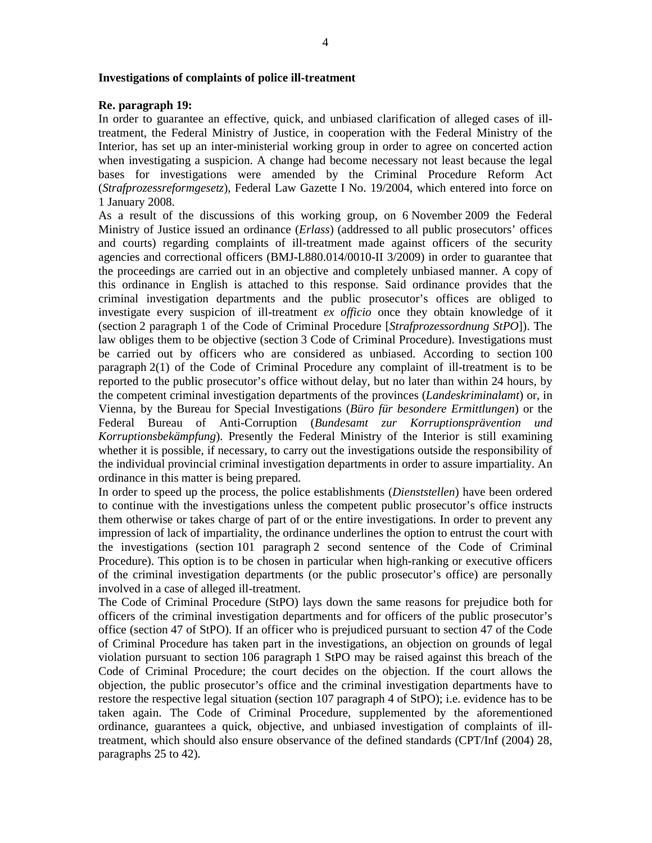#### **Investigations of complaints of police ill-treatment**

# **Re. paragraph 19:**

In order to guarantee an effective, quick, and unbiased clarification of alleged cases of illtreatment, the Federal Ministry of Justice, in cooperation with the Federal Ministry of the Interior, has set up an inter-ministerial working group in order to agree on concerted action when investigating a suspicion. A change had become necessary not least because the legal bases for investigations were amended by the Criminal Procedure Reform Act (*Strafprozessreformgesetz*), Federal Law Gazette I No. 19/2004, which entered into force on 1 January 2008.

As a result of the discussions of this working group, on 6 November 2009 the Federal Ministry of Justice issued an ordinance (*Erlass*) (addressed to all public prosecutors' offices and courts) regarding complaints of ill-treatment made against officers of the security agencies and correctional officers (BMJ-L880.014/0010-II 3/2009) in order to guarantee that the proceedings are carried out in an objective and completely unbiased manner. A copy of this ordinance in English is attached to this response. Said ordinance provides that the criminal investigation departments and the public prosecutor's offices are obliged to investigate every suspicion of ill-treatment *ex officio* once they obtain knowledge of it (section 2 paragraph 1 of the Code of Criminal Procedure [*Strafprozessordnung StPO*]). The law obliges them to be objective (section 3 Code of Criminal Procedure). Investigations must be carried out by officers who are considered as unbiased. According to section 100 paragraph 2(1) of the Code of Criminal Procedure any complaint of ill-treatment is to be reported to the public prosecutor's office without delay, but no later than within 24 hours, by the competent criminal investigation departments of the provinces (*Landeskriminalamt*) or, in Vienna, by the Bureau for Special Investigations (*Büro für besondere Ermittlungen*) or the Federal Bureau of Anti-Corruption (*Bundesamt zur Korruptionsprävention und Korruptionsbekämpfung*). Presently the Federal Ministry of the Interior is still examining whether it is possible, if necessary, to carry out the investigations outside the responsibility of the individual provincial criminal investigation departments in order to assure impartiality. An ordinance in this matter is being prepared.

In order to speed up the process, the police establishments (*Dienststellen*) have been ordered to continue with the investigations unless the competent public prosecutor's office instructs them otherwise or takes charge of part of or the entire investigations. In order to prevent any impression of lack of impartiality, the ordinance underlines the option to entrust the court with the investigations (section 101 paragraph 2 second sentence of the Code of Criminal Procedure). This option is to be chosen in particular when high-ranking or executive officers of the criminal investigation departments (or the public prosecutor's office) are personally involved in a case of alleged ill-treatment.

The Code of Criminal Procedure (StPO) lays down the same reasons for prejudice both for officers of the criminal investigation departments and for officers of the public prosecutor's office (section 47 of StPO). If an officer who is prejudiced pursuant to section 47 of the Code of Criminal Procedure has taken part in the investigations, an objection on grounds of legal violation pursuant to section 106 paragraph 1 StPO may be raised against this breach of the Code of Criminal Procedure; the court decides on the objection. If the court allows the objection, the public prosecutor's office and the criminal investigation departments have to restore the respective legal situation (section 107 paragraph 4 of StPO); i.e. evidence has to be taken again. The Code of Criminal Procedure, supplemented by the aforementioned ordinance, guarantees a quick, objective, and unbiased investigation of complaints of illtreatment, which should also ensure observance of the defined standards (CPT/Inf (2004) 28, paragraphs 25 to 42).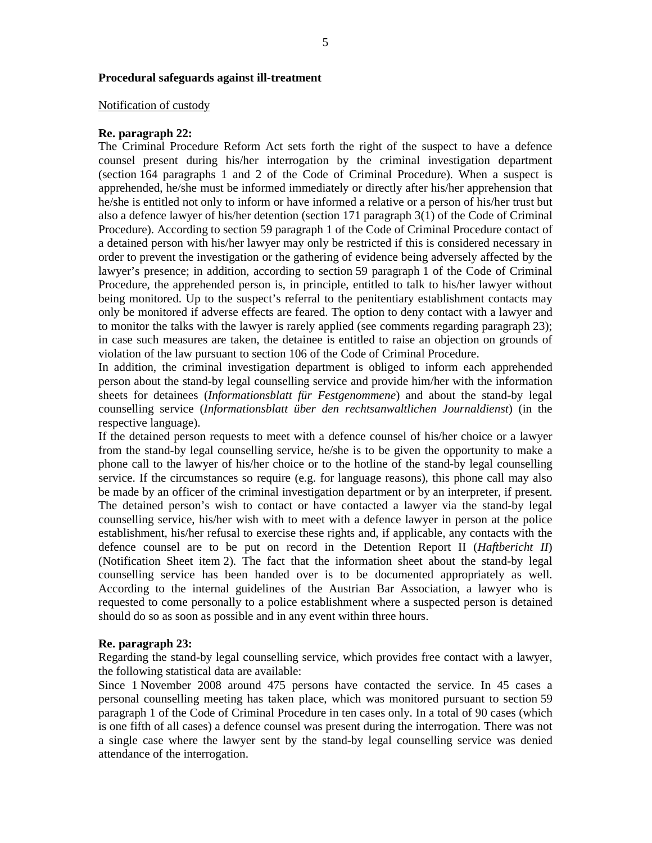#### **Procedural safeguards against ill-treatment**

#### Notification of custody

#### **Re. paragraph 22:**

The Criminal Procedure Reform Act sets forth the right of the suspect to have a defence counsel present during his/her interrogation by the criminal investigation department (section 164 paragraphs 1 and 2 of the Code of Criminal Procedure). When a suspect is apprehended, he/she must be informed immediately or directly after his/her apprehension that he/she is entitled not only to inform or have informed a relative or a person of his/her trust but also a defence lawyer of his/her detention (section 171 paragraph 3(1) of the Code of Criminal Procedure). According to section 59 paragraph 1 of the Code of Criminal Procedure contact of a detained person with his/her lawyer may only be restricted if this is considered necessary in order to prevent the investigation or the gathering of evidence being adversely affected by the lawyer's presence; in addition, according to section 59 paragraph 1 of the Code of Criminal Procedure, the apprehended person is, in principle, entitled to talk to his/her lawyer without being monitored. Up to the suspect's referral to the penitentiary establishment contacts may only be monitored if adverse effects are feared. The option to deny contact with a lawyer and to monitor the talks with the lawyer is rarely applied (see comments regarding paragraph 23); in case such measures are taken, the detainee is entitled to raise an objection on grounds of violation of the law pursuant to section 106 of the Code of Criminal Procedure.

In addition, the criminal investigation department is obliged to inform each apprehended person about the stand-by legal counselling service and provide him/her with the information sheets for detainees (*Informationsblatt für Festgenommene*) and about the stand-by legal counselling service (*Informationsblatt über den rechtsanwaltlichen Journaldienst*) (in the respective language).

If the detained person requests to meet with a defence counsel of his/her choice or a lawyer from the stand-by legal counselling service, he/she is to be given the opportunity to make a phone call to the lawyer of his/her choice or to the hotline of the stand-by legal counselling service. If the circumstances so require (e.g. for language reasons), this phone call may also be made by an officer of the criminal investigation department or by an interpreter, if present. The detained person's wish to contact or have contacted a lawyer via the stand-by legal counselling service, his/her wish with to meet with a defence lawyer in person at the police establishment, his/her refusal to exercise these rights and, if applicable, any contacts with the defence counsel are to be put on record in the Detention Report II (*Haftbericht II*) (Notification Sheet item 2). The fact that the information sheet about the stand-by legal counselling service has been handed over is to be documented appropriately as well. According to the internal guidelines of the Austrian Bar Association, a lawyer who is requested to come personally to a police establishment where a suspected person is detained should do so as soon as possible and in any event within three hours.

#### **Re. paragraph 23:**

Regarding the stand-by legal counselling service, which provides free contact with a lawyer, the following statistical data are available:

Since 1 November 2008 around 475 persons have contacted the service. In 45 cases a personal counselling meeting has taken place, which was monitored pursuant to section 59 paragraph 1 of the Code of Criminal Procedure in ten cases only. In a total of 90 cases (which is one fifth of all cases) a defence counsel was present during the interrogation. There was not a single case where the lawyer sent by the stand-by legal counselling service was denied attendance of the interrogation.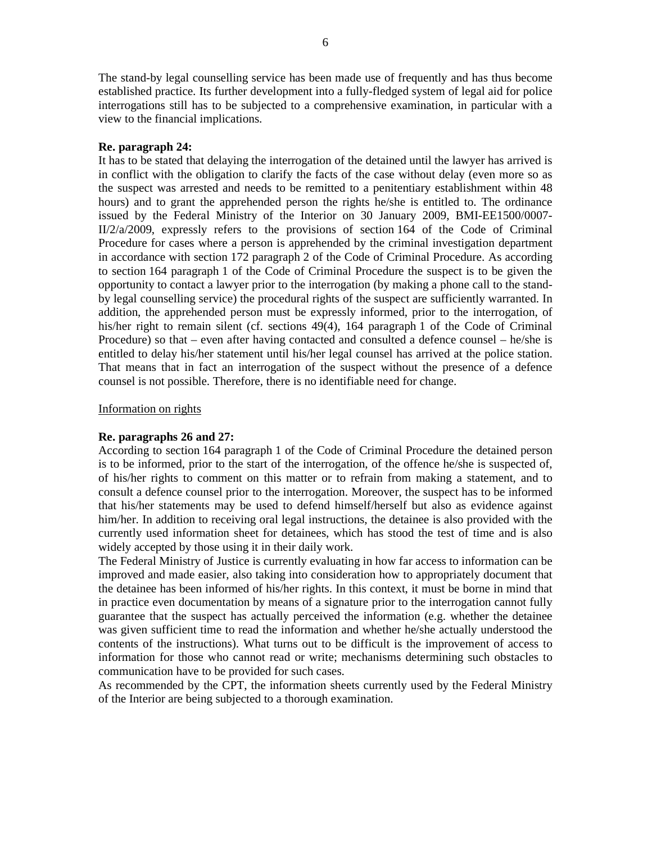The stand-by legal counselling service has been made use of frequently and has thus become established practice. Its further development into a fully-fledged system of legal aid for police interrogations still has to be subjected to a comprehensive examination, in particular with a view to the financial implications.

# **Re. paragraph 24:**

It has to be stated that delaying the interrogation of the detained until the lawyer has arrived is in conflict with the obligation to clarify the facts of the case without delay (even more so as the suspect was arrested and needs to be remitted to a penitentiary establishment within 48 hours) and to grant the apprehended person the rights he/she is entitled to. The ordinance issued by the Federal Ministry of the Interior on 30 January 2009, BMI-EE1500/0007- II/2/a/2009, expressly refers to the provisions of section 164 of the Code of Criminal Procedure for cases where a person is apprehended by the criminal investigation department in accordance with section 172 paragraph 2 of the Code of Criminal Procedure. As according to section 164 paragraph 1 of the Code of Criminal Procedure the suspect is to be given the opportunity to contact a lawyer prior to the interrogation (by making a phone call to the standby legal counselling service) the procedural rights of the suspect are sufficiently warranted. In addition, the apprehended person must be expressly informed, prior to the interrogation, of his/her right to remain silent (cf. sections 49(4), 164 paragraph 1 of the Code of Criminal Procedure) so that – even after having contacted and consulted a defence counsel – he/she is entitled to delay his/her statement until his/her legal counsel has arrived at the police station. That means that in fact an interrogation of the suspect without the presence of a defence counsel is not possible. Therefore, there is no identifiable need for change.

#### Information on rights

#### **Re. paragraphs 26 and 27:**

According to section 164 paragraph 1 of the Code of Criminal Procedure the detained person is to be informed, prior to the start of the interrogation, of the offence he/she is suspected of, of his/her rights to comment on this matter or to refrain from making a statement, and to consult a defence counsel prior to the interrogation. Moreover, the suspect has to be informed that his/her statements may be used to defend himself/herself but also as evidence against him/her. In addition to receiving oral legal instructions, the detainee is also provided with the currently used information sheet for detainees, which has stood the test of time and is also widely accepted by those using it in their daily work.

The Federal Ministry of Justice is currently evaluating in how far access to information can be improved and made easier, also taking into consideration how to appropriately document that the detainee has been informed of his/her rights. In this context, it must be borne in mind that in practice even documentation by means of a signature prior to the interrogation cannot fully guarantee that the suspect has actually perceived the information (e.g. whether the detainee was given sufficient time to read the information and whether he/she actually understood the contents of the instructions). What turns out to be difficult is the improvement of access to information for those who cannot read or write; mechanisms determining such obstacles to communication have to be provided for such cases.

As recommended by the CPT, the information sheets currently used by the Federal Ministry of the Interior are being subjected to a thorough examination.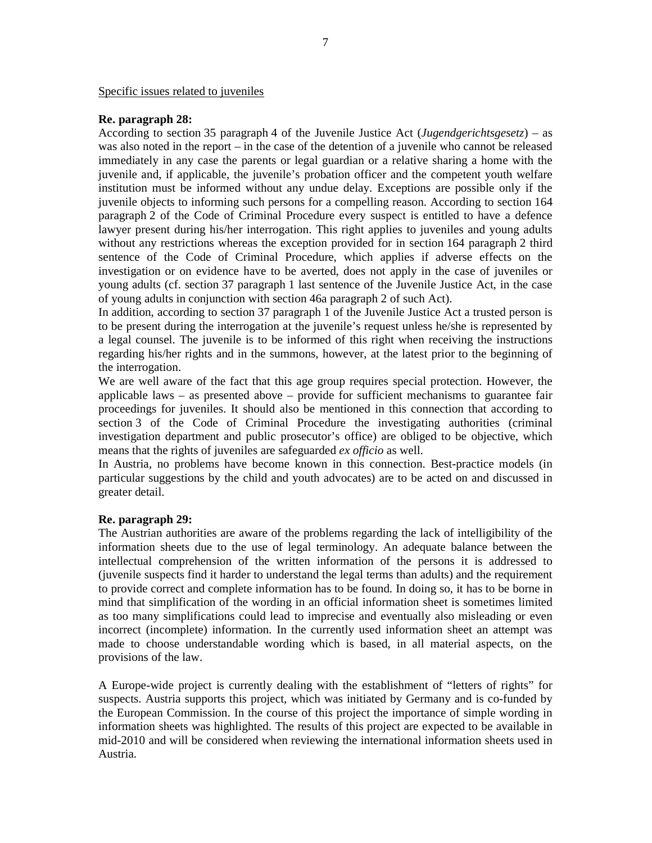# Specific issues related to juveniles

## **Re. paragraph 28:**

According to section 35 paragraph 4 of the Juvenile Justice Act (*Jugendgerichtsgesetz*) – as was also noted in the report – in the case of the detention of a juvenile who cannot be released immediately in any case the parents or legal guardian or a relative sharing a home with the juvenile and, if applicable, the juvenile's probation officer and the competent youth welfare institution must be informed without any undue delay. Exceptions are possible only if the juvenile objects to informing such persons for a compelling reason. According to section 164 paragraph 2 of the Code of Criminal Procedure every suspect is entitled to have a defence lawyer present during his/her interrogation. This right applies to juveniles and young adults without any restrictions whereas the exception provided for in section 164 paragraph 2 third sentence of the Code of Criminal Procedure, which applies if adverse effects on the investigation or on evidence have to be averted, does not apply in the case of juveniles or young adults (cf. section 37 paragraph 1 last sentence of the Juvenile Justice Act, in the case of young adults in conjunction with section 46a paragraph 2 of such Act).

In addition, according to section 37 paragraph 1 of the Juvenile Justice Act a trusted person is to be present during the interrogation at the juvenile's request unless he/she is represented by a legal counsel. The juvenile is to be informed of this right when receiving the instructions regarding his/her rights and in the summons, however, at the latest prior to the beginning of the interrogation.

We are well aware of the fact that this age group requires special protection. However, the applicable laws – as presented above – provide for sufficient mechanisms to guarantee fair proceedings for juveniles. It should also be mentioned in this connection that according to section 3 of the Code of Criminal Procedure the investigating authorities (criminal investigation department and public prosecutor's office) are obliged to be objective, which means that the rights of juveniles are safeguarded *ex officio* as well.

In Austria, no problems have become known in this connection. Best-practice models (in particular suggestions by the child and youth advocates) are to be acted on and discussed in greater detail.

## **Re. paragraph 29:**

The Austrian authorities are aware of the problems regarding the lack of intelligibility of the information sheets due to the use of legal terminology. An adequate balance between the intellectual comprehension of the written information of the persons it is addressed to (juvenile suspects find it harder to understand the legal terms than adults) and the requirement to provide correct and complete information has to be found. In doing so, it has to be borne in mind that simplification of the wording in an official information sheet is sometimes limited as too many simplifications could lead to imprecise and eventually also misleading or even incorrect (incomplete) information. In the currently used information sheet an attempt was made to choose understandable wording which is based, in all material aspects, on the provisions of the law.

A Europe-wide project is currently dealing with the establishment of "letters of rights" for suspects. Austria supports this project, which was initiated by Germany and is co-funded by the European Commission. In the course of this project the importance of simple wording in information sheets was highlighted. The results of this project are expected to be available in mid-2010 and will be considered when reviewing the international information sheets used in Austria.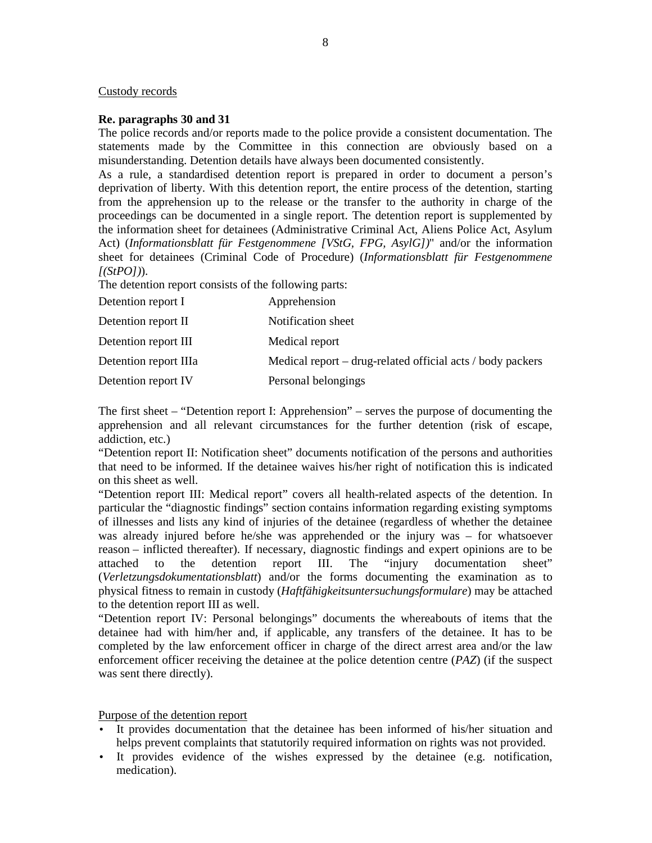# Custody records

# **Re. paragraphs 30 and 31**

The police records and/or reports made to the police provide a consistent documentation. The statements made by the Committee in this connection are obviously based on a misunderstanding. Detention details have always been documented consistently.

As a rule, a standardised detention report is prepared in order to document a person's deprivation of liberty. With this detention report, the entire process of the detention, starting from the apprehension up to the release or the transfer to the authority in charge of the proceedings can be documented in a single report. The detention report is supplemented by the information sheet for detainees (Administrative Criminal Act, Aliens Police Act, Asylum Act) (*Informationsblatt für Festgenommene [VStG, FPG, AsylG])*" and/or the information sheet for detainees (Criminal Code of Procedure) (*Informationsblatt für Festgenommene [(StPO])*).

The detention report consists of the following parts:

| Detention report I    | Apprehension                                               |
|-----------------------|------------------------------------------------------------|
| Detention report II   | Notification sheet                                         |
| Detention report III  | Medical report                                             |
| Detention report IIIa | Medical report – drug-related official acts / body packers |
| Detention report IV   | Personal belongings                                        |

The first sheet – "Detention report I: Apprehension" – serves the purpose of documenting the apprehension and all relevant circumstances for the further detention (risk of escape, addiction, etc.)

"Detention report II: Notification sheet" documents notification of the persons and authorities that need to be informed. If the detainee waives his/her right of notification this is indicated on this sheet as well.

"Detention report III: Medical report" covers all health-related aspects of the detention. In particular the "diagnostic findings" section contains information regarding existing symptoms of illnesses and lists any kind of injuries of the detainee (regardless of whether the detainee was already injured before he/she was apprehended or the injury was – for whatsoever reason – inflicted thereafter). If necessary, diagnostic findings and expert opinions are to be attached to the detention report III. The "injury documentation sheet" (*Verletzungsdokumentationsblatt*) and/or the forms documenting the examination as to physical fitness to remain in custody (*Haftfähigkeitsuntersuchungsformulare*) may be attached to the detention report III as well.

"Detention report IV: Personal belongings" documents the whereabouts of items that the detainee had with him/her and, if applicable, any transfers of the detainee. It has to be completed by the law enforcement officer in charge of the direct arrest area and/or the law enforcement officer receiving the detainee at the police detention centre (*PAZ*) (if the suspect was sent there directly).

# Purpose of the detention report

- It provides documentation that the detainee has been informed of his/her situation and helps prevent complaints that statutorily required information on rights was not provided.
- It provides evidence of the wishes expressed by the detainee (e.g. notification, medication).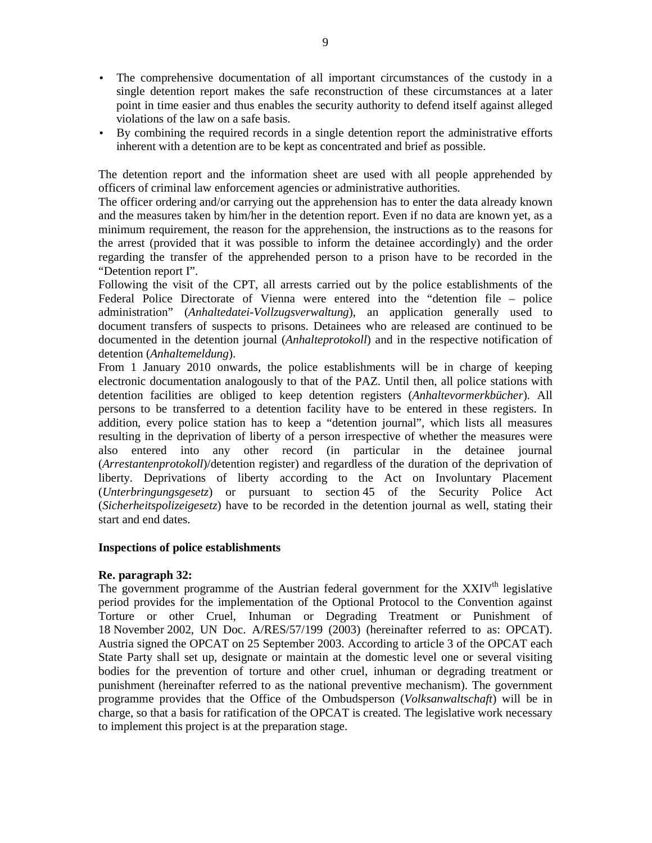- The comprehensive documentation of all important circumstances of the custody in a single detention report makes the safe reconstruction of these circumstances at a later point in time easier and thus enables the security authority to defend itself against alleged violations of the law on a safe basis.
- By combining the required records in a single detention report the administrative efforts inherent with a detention are to be kept as concentrated and brief as possible.

The detention report and the information sheet are used with all people apprehended by officers of criminal law enforcement agencies or administrative authorities.

The officer ordering and/or carrying out the apprehension has to enter the data already known and the measures taken by him/her in the detention report. Even if no data are known yet, as a minimum requirement, the reason for the apprehension, the instructions as to the reasons for the arrest (provided that it was possible to inform the detainee accordingly) and the order regarding the transfer of the apprehended person to a prison have to be recorded in the "Detention report I".

Following the visit of the CPT, all arrests carried out by the police establishments of the Federal Police Directorate of Vienna were entered into the "detention file – police administration" (*Anhaltedatei-Vollzugsverwaltung*), an application generally used to document transfers of suspects to prisons. Detainees who are released are continued to be documented in the detention journal (*Anhalteprotokoll*) and in the respective notification of detention (*Anhaltemeldung*).

From 1 January 2010 onwards, the police establishments will be in charge of keeping electronic documentation analogously to that of the PAZ. Until then, all police stations with detention facilities are obliged to keep detention registers (*Anhaltevormerkbücher*). All persons to be transferred to a detention facility have to be entered in these registers. In addition, every police station has to keep a "detention journal", which lists all measures resulting in the deprivation of liberty of a person irrespective of whether the measures were also entered into any other record (in particular in the detainee journal (*Arrestantenprotokoll*)/detention register) and regardless of the duration of the deprivation of liberty. Deprivations of liberty according to the Act on Involuntary Placement (*Unterbringungsgesetz*) or pursuant to section 45 of the Security Police Act (*Sicherheitspolizeigesetz*) have to be recorded in the detention journal as well, stating their start and end dates.

# **Inspections of police establishments**

# **Re. paragraph 32:**

The government programme of the Austrian federal government for the XXIV<sup>th</sup> legislative period provides for the implementation of the Optional Protocol to the Convention against Torture or other Cruel, Inhuman or Degrading Treatment or Punishment of 18 November 2002, UN Doc. A/RES/57/199 (2003) (hereinafter referred to as: OPCAT). Austria signed the OPCAT on 25 September 2003. According to article 3 of the OPCAT each State Party shall set up, designate or maintain at the domestic level one or several visiting bodies for the prevention of torture and other cruel, inhuman or degrading treatment or punishment (hereinafter referred to as the national preventive mechanism). The government programme provides that the Office of the Ombudsperson (*Volksanwaltschaft*) will be in charge, so that a basis for ratification of the OPCAT is created. The legislative work necessary to implement this project is at the preparation stage.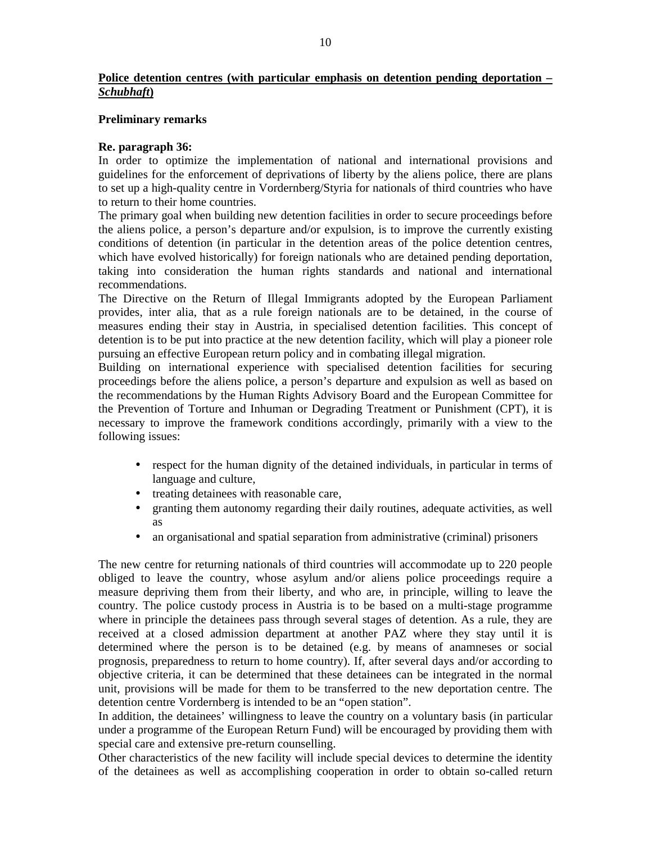# **Police detention centres (with particular emphasis on detention pending deportation –** *Schubhaft***)**

# **Preliminary remarks**

# **Re. paragraph 36:**

In order to optimize the implementation of national and international provisions and guidelines for the enforcement of deprivations of liberty by the aliens police, there are plans to set up a high-quality centre in Vordernberg/Styria for nationals of third countries who have to return to their home countries.

The primary goal when building new detention facilities in order to secure proceedings before the aliens police, a person's departure and/or expulsion, is to improve the currently existing conditions of detention (in particular in the detention areas of the police detention centres, which have evolved historically) for foreign nationals who are detained pending deportation, taking into consideration the human rights standards and national and international recommendations.

The Directive on the Return of Illegal Immigrants adopted by the European Parliament provides, inter alia, that as a rule foreign nationals are to be detained, in the course of measures ending their stay in Austria, in specialised detention facilities. This concept of detention is to be put into practice at the new detention facility, which will play a pioneer role pursuing an effective European return policy and in combating illegal migration.

Building on international experience with specialised detention facilities for securing proceedings before the aliens police, a person's departure and expulsion as well as based on the recommendations by the Human Rights Advisory Board and the European Committee for the Prevention of Torture and Inhuman or Degrading Treatment or Punishment (CPT), it is necessary to improve the framework conditions accordingly, primarily with a view to the following issues:

- respect for the human dignity of the detained individuals, in particular in terms of language and culture,
- treating detainees with reasonable care,
- granting them autonomy regarding their daily routines, adequate activities, as well as
- an organisational and spatial separation from administrative (criminal) prisoners

The new centre for returning nationals of third countries will accommodate up to 220 people obliged to leave the country, whose asylum and/or aliens police proceedings require a measure depriving them from their liberty, and who are, in principle, willing to leave the country. The police custody process in Austria is to be based on a multi-stage programme where in principle the detainees pass through several stages of detention. As a rule, they are received at a closed admission department at another PAZ where they stay until it is determined where the person is to be detained (e.g. by means of anamneses or social prognosis, preparedness to return to home country). If, after several days and/or according to objective criteria, it can be determined that these detainees can be integrated in the normal unit, provisions will be made for them to be transferred to the new deportation centre. The detention centre Vordernberg is intended to be an "open station".

In addition, the detainees' willingness to leave the country on a voluntary basis (in particular under a programme of the European Return Fund) will be encouraged by providing them with special care and extensive pre-return counselling.

Other characteristics of the new facility will include special devices to determine the identity of the detainees as well as accomplishing cooperation in order to obtain so-called return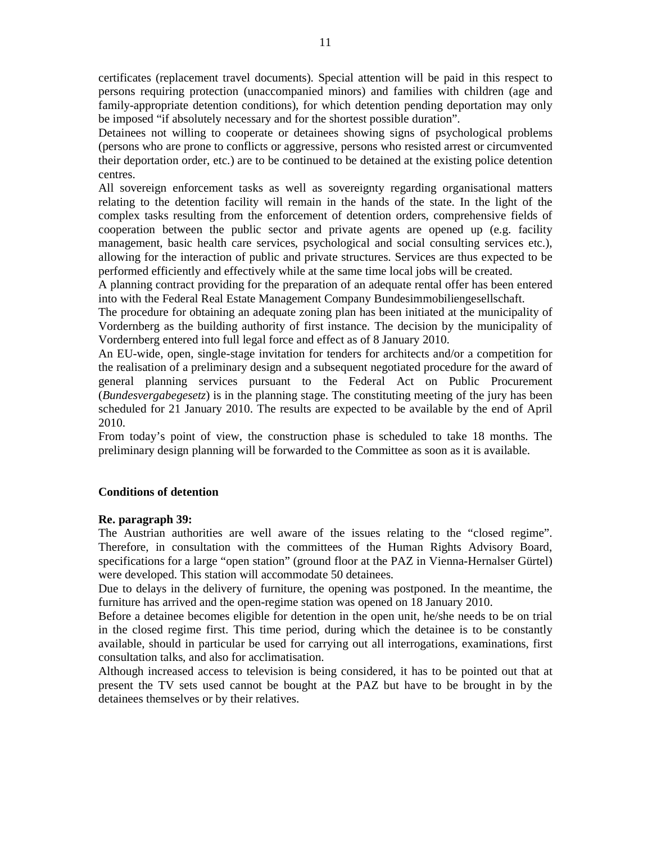certificates (replacement travel documents). Special attention will be paid in this respect to persons requiring protection (unaccompanied minors) and families with children (age and family-appropriate detention conditions), for which detention pending deportation may only be imposed "if absolutely necessary and for the shortest possible duration".

Detainees not willing to cooperate or detainees showing signs of psychological problems (persons who are prone to conflicts or aggressive, persons who resisted arrest or circumvented their deportation order, etc.) are to be continued to be detained at the existing police detention centres.

All sovereign enforcement tasks as well as sovereignty regarding organisational matters relating to the detention facility will remain in the hands of the state. In the light of the complex tasks resulting from the enforcement of detention orders, comprehensive fields of cooperation between the public sector and private agents are opened up (e.g. facility management, basic health care services, psychological and social consulting services etc.), allowing for the interaction of public and private structures. Services are thus expected to be performed efficiently and effectively while at the same time local jobs will be created.

A planning contract providing for the preparation of an adequate rental offer has been entered into with the Federal Real Estate Management Company Bundesimmobiliengesellschaft.

The procedure for obtaining an adequate zoning plan has been initiated at the municipality of Vordernberg as the building authority of first instance. The decision by the municipality of Vordernberg entered into full legal force and effect as of 8 January 2010.

An EU-wide, open, single-stage invitation for tenders for architects and/or a competition for the realisation of a preliminary design and a subsequent negotiated procedure for the award of general planning services pursuant to the Federal Act on Public Procurement (*Bundesvergabegesetz*) is in the planning stage. The constituting meeting of the jury has been scheduled for 21 January 2010. The results are expected to be available by the end of April 2010.

From today's point of view, the construction phase is scheduled to take 18 months. The preliminary design planning will be forwarded to the Committee as soon as it is available.

# **Conditions of detention**

# **Re. paragraph 39:**

The Austrian authorities are well aware of the issues relating to the "closed regime". Therefore, in consultation with the committees of the Human Rights Advisory Board, specifications for a large "open station" (ground floor at the PAZ in Vienna-Hernalser Gürtel) were developed. This station will accommodate 50 detainees.

Due to delays in the delivery of furniture, the opening was postponed. In the meantime, the furniture has arrived and the open-regime station was opened on 18 January 2010.

Before a detainee becomes eligible for detention in the open unit, he/she needs to be on trial in the closed regime first. This time period, during which the detainee is to be constantly available, should in particular be used for carrying out all interrogations, examinations, first consultation talks, and also for acclimatisation.

Although increased access to television is being considered, it has to be pointed out that at present the TV sets used cannot be bought at the PAZ but have to be brought in by the detainees themselves or by their relatives.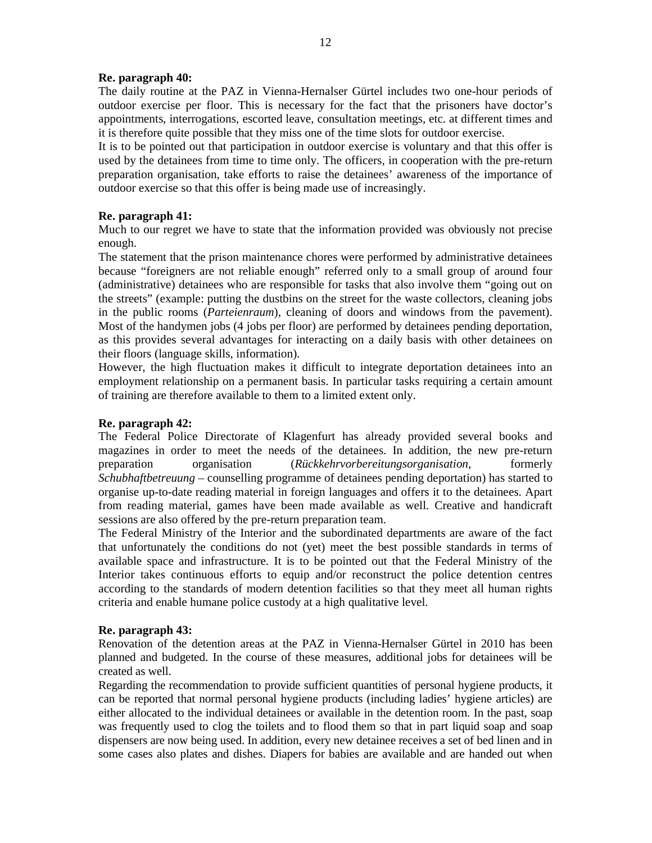#### **Re. paragraph 40:**

The daily routine at the PAZ in Vienna-Hernalser Gürtel includes two one-hour periods of outdoor exercise per floor. This is necessary for the fact that the prisoners have doctor's appointments, interrogations, escorted leave, consultation meetings, etc. at different times and it is therefore quite possible that they miss one of the time slots for outdoor exercise.

It is to be pointed out that participation in outdoor exercise is voluntary and that this offer is used by the detainees from time to time only. The officers, in cooperation with the pre-return preparation organisation, take efforts to raise the detainees' awareness of the importance of outdoor exercise so that this offer is being made use of increasingly.

# **Re. paragraph 41:**

Much to our regret we have to state that the information provided was obviously not precise enough.

The statement that the prison maintenance chores were performed by administrative detainees because "foreigners are not reliable enough" referred only to a small group of around four (administrative) detainees who are responsible for tasks that also involve them "going out on the streets" (example: putting the dustbins on the street for the waste collectors, cleaning jobs in the public rooms (*Parteienraum*), cleaning of doors and windows from the pavement). Most of the handymen jobs (4 jobs per floor) are performed by detainees pending deportation, as this provides several advantages for interacting on a daily basis with other detainees on their floors (language skills, information).

However, the high fluctuation makes it difficult to integrate deportation detainees into an employment relationship on a permanent basis. In particular tasks requiring a certain amount of training are therefore available to them to a limited extent only.

#### **Re. paragraph 42:**

The Federal Police Directorate of Klagenfurt has already provided several books and magazines in order to meet the needs of the detainees. In addition, the new pre-return preparation organisation (*Rückkehrvorbereitungsorganisation*, formerly *Schubhaftbetreuung* – counselling programme of detainees pending deportation) has started to organise up-to-date reading material in foreign languages and offers it to the detainees. Apart from reading material, games have been made available as well. Creative and handicraft sessions are also offered by the pre-return preparation team.

The Federal Ministry of the Interior and the subordinated departments are aware of the fact that unfortunately the conditions do not (yet) meet the best possible standards in terms of available space and infrastructure. It is to be pointed out that the Federal Ministry of the Interior takes continuous efforts to equip and/or reconstruct the police detention centres according to the standards of modern detention facilities so that they meet all human rights criteria and enable humane police custody at a high qualitative level.

#### **Re. paragraph 43:**

Renovation of the detention areas at the PAZ in Vienna-Hernalser Gürtel in 2010 has been planned and budgeted. In the course of these measures, additional jobs for detainees will be created as well.

Regarding the recommendation to provide sufficient quantities of personal hygiene products, it can be reported that normal personal hygiene products (including ladies' hygiene articles) are either allocated to the individual detainees or available in the detention room. In the past, soap was frequently used to clog the toilets and to flood them so that in part liquid soap and soap dispensers are now being used. In addition, every new detainee receives a set of bed linen and in some cases also plates and dishes. Diapers for babies are available and are handed out when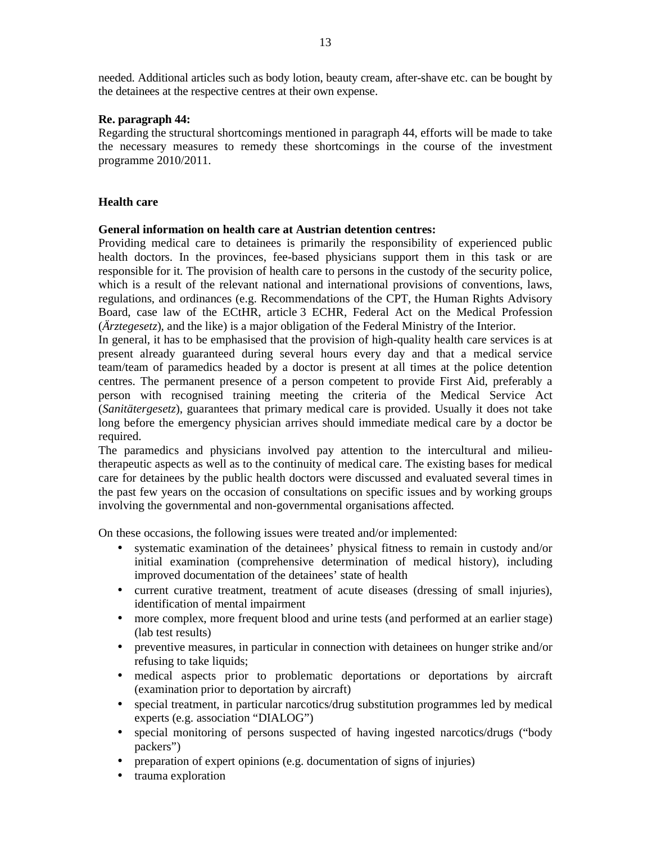needed. Additional articles such as body lotion, beauty cream, after-shave etc. can be bought by the detainees at the respective centres at their own expense.

# **Re. paragraph 44:**

Regarding the structural shortcomings mentioned in paragraph 44, efforts will be made to take the necessary measures to remedy these shortcomings in the course of the investment programme 2010/2011.

# **Health care**

# **General information on health care at Austrian detention centres:**

Providing medical care to detainees is primarily the responsibility of experienced public health doctors. In the provinces, fee-based physicians support them in this task or are responsible for it. The provision of health care to persons in the custody of the security police, which is a result of the relevant national and international provisions of conventions, laws, regulations, and ordinances (e.g. Recommendations of the CPT, the Human Rights Advisory Board, case law of the ECtHR, article 3 ECHR, Federal Act on the Medical Profession (*Ärztegesetz*), and the like) is a major obligation of the Federal Ministry of the Interior.

In general, it has to be emphasised that the provision of high-quality health care services is at present already guaranteed during several hours every day and that a medical service team/team of paramedics headed by a doctor is present at all times at the police detention centres. The permanent presence of a person competent to provide First Aid, preferably a person with recognised training meeting the criteria of the Medical Service Act (*Sanitätergesetz*), guarantees that primary medical care is provided. Usually it does not take long before the emergency physician arrives should immediate medical care by a doctor be required.

The paramedics and physicians involved pay attention to the intercultural and milieutherapeutic aspects as well as to the continuity of medical care. The existing bases for medical care for detainees by the public health doctors were discussed and evaluated several times in the past few years on the occasion of consultations on specific issues and by working groups involving the governmental and non-governmental organisations affected.

On these occasions, the following issues were treated and/or implemented:

- systematic examination of the detainees' physical fitness to remain in custody and/or initial examination (comprehensive determination of medical history), including improved documentation of the detainees' state of health
- current curative treatment, treatment of acute diseases (dressing of small injuries), identification of mental impairment
- more complex, more frequent blood and urine tests (and performed at an earlier stage) (lab test results)
- preventive measures, in particular in connection with detainees on hunger strike and/or refusing to take liquids;
- medical aspects prior to problematic deportations or deportations by aircraft (examination prior to deportation by aircraft)
- special treatment, in particular narcotics/drug substitution programmes led by medical experts (e.g. association "DIALOG")
- special monitoring of persons suspected of having ingested narcotics/drugs ("body packers")
- preparation of expert opinions (e.g. documentation of signs of injuries)
- trauma exploration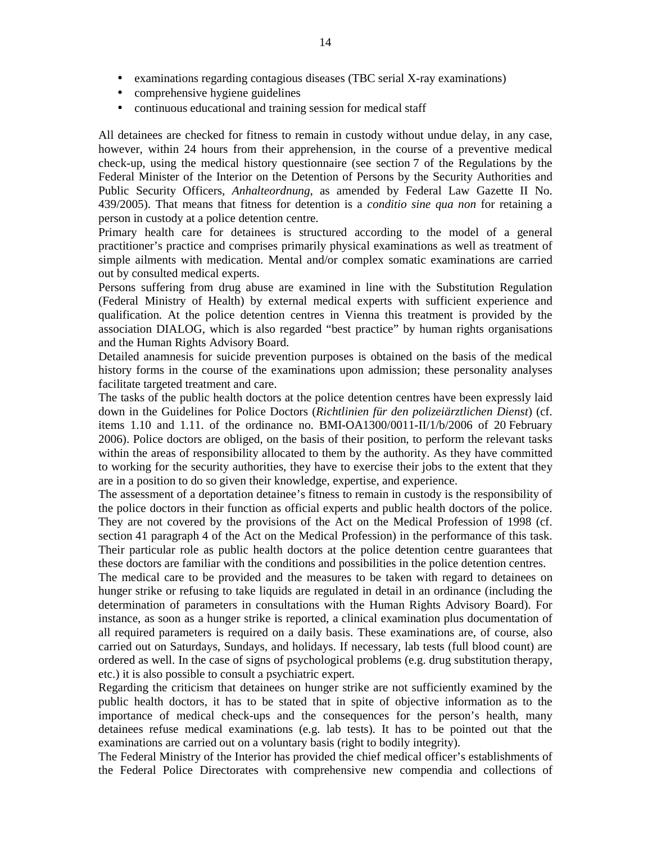- examinations regarding contagious diseases (TBC serial X-ray examinations)
- comprehensive hygiene guidelines
- continuous educational and training session for medical staff

All detainees are checked for fitness to remain in custody without undue delay, in any case, however, within 24 hours from their apprehension, in the course of a preventive medical check-up, using the medical history questionnaire (see section 7 of the Regulations by the Federal Minister of the Interior on the Detention of Persons by the Security Authorities and Public Security Officers, *Anhalteordnung*, as amended by Federal Law Gazette II No. 439/2005). That means that fitness for detention is a *conditio sine qua non* for retaining a person in custody at a police detention centre.

Primary health care for detainees is structured according to the model of a general practitioner's practice and comprises primarily physical examinations as well as treatment of simple ailments with medication. Mental and/or complex somatic examinations are carried out by consulted medical experts.

Persons suffering from drug abuse are examined in line with the Substitution Regulation (Federal Ministry of Health) by external medical experts with sufficient experience and qualification. At the police detention centres in Vienna this treatment is provided by the association DIALOG, which is also regarded "best practice" by human rights organisations and the Human Rights Advisory Board.

Detailed anamnesis for suicide prevention purposes is obtained on the basis of the medical history forms in the course of the examinations upon admission; these personality analyses facilitate targeted treatment and care.

The tasks of the public health doctors at the police detention centres have been expressly laid down in the Guidelines for Police Doctors (*Richtlinien für den polizeiärztlichen Dienst*) (cf. items 1.10 and 1.11. of the ordinance no. BMI-OA1300/0011-II/1/b/2006 of 20 February 2006). Police doctors are obliged, on the basis of their position, to perform the relevant tasks within the areas of responsibility allocated to them by the authority. As they have committed to working for the security authorities, they have to exercise their jobs to the extent that they are in a position to do so given their knowledge, expertise, and experience.

The assessment of a deportation detainee's fitness to remain in custody is the responsibility of the police doctors in their function as official experts and public health doctors of the police. They are not covered by the provisions of the Act on the Medical Profession of 1998 (cf. section 41 paragraph 4 of the Act on the Medical Profession) in the performance of this task. Their particular role as public health doctors at the police detention centre guarantees that these doctors are familiar with the conditions and possibilities in the police detention centres.

The medical care to be provided and the measures to be taken with regard to detainees on hunger strike or refusing to take liquids are regulated in detail in an ordinance (including the determination of parameters in consultations with the Human Rights Advisory Board). For instance, as soon as a hunger strike is reported, a clinical examination plus documentation of all required parameters is required on a daily basis. These examinations are, of course, also carried out on Saturdays, Sundays, and holidays. If necessary, lab tests (full blood count) are ordered as well. In the case of signs of psychological problems (e.g. drug substitution therapy, etc.) it is also possible to consult a psychiatric expert.

Regarding the criticism that detainees on hunger strike are not sufficiently examined by the public health doctors, it has to be stated that in spite of objective information as to the importance of medical check-ups and the consequences for the person's health, many detainees refuse medical examinations (e.g. lab tests). It has to be pointed out that the examinations are carried out on a voluntary basis (right to bodily integrity).

The Federal Ministry of the Interior has provided the chief medical officer's establishments of the Federal Police Directorates with comprehensive new compendia and collections of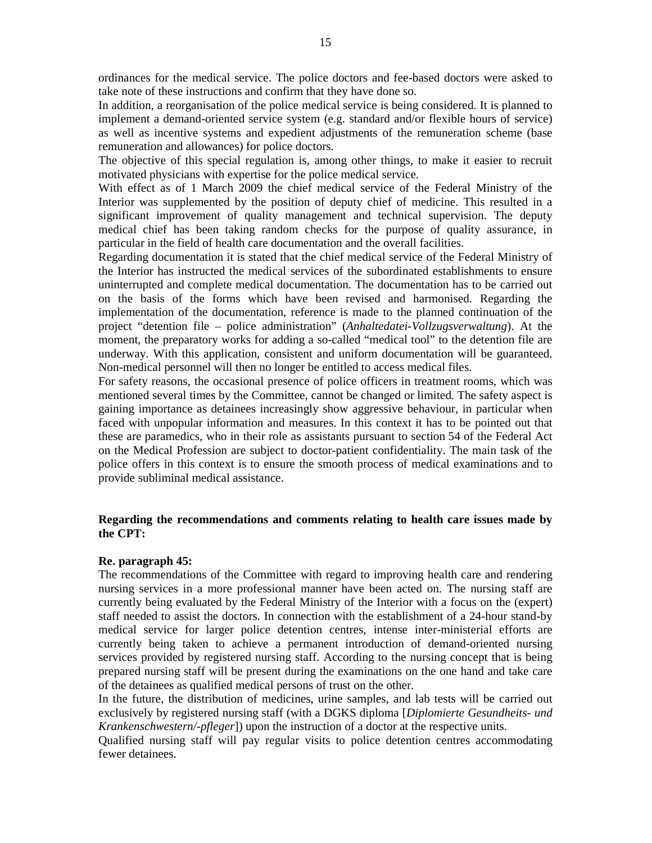ordinances for the medical service. The police doctors and fee-based doctors were asked to take note of these instructions and confirm that they have done so.

In addition, a reorganisation of the police medical service is being considered. It is planned to implement a demand-oriented service system (e.g. standard and/or flexible hours of service) as well as incentive systems and expedient adjustments of the remuneration scheme (base remuneration and allowances) for police doctors.

The objective of this special regulation is, among other things, to make it easier to recruit motivated physicians with expertise for the police medical service.

With effect as of 1 March 2009 the chief medical service of the Federal Ministry of the Interior was supplemented by the position of deputy chief of medicine. This resulted in a significant improvement of quality management and technical supervision. The deputy medical chief has been taking random checks for the purpose of quality assurance, in particular in the field of health care documentation and the overall facilities.

Regarding documentation it is stated that the chief medical service of the Federal Ministry of the Interior has instructed the medical services of the subordinated establishments to ensure uninterrupted and complete medical documentation. The documentation has to be carried out on the basis of the forms which have been revised and harmonised. Regarding the implementation of the documentation, reference is made to the planned continuation of the project "detention file – police administration" (*Anhaltedatei-Vollzugsverwaltung*). At the moment, the preparatory works for adding a so-called "medical tool" to the detention file are underway. With this application, consistent and uniform documentation will be guaranteed. Non-medical personnel will then no longer be entitled to access medical files.

For safety reasons, the occasional presence of police officers in treatment rooms, which was mentioned several times by the Committee, cannot be changed or limited. The safety aspect is gaining importance as detainees increasingly show aggressive behaviour, in particular when faced with unpopular information and measures. In this context it has to be pointed out that these are paramedics, who in their role as assistants pursuant to section 54 of the Federal Act on the Medical Profession are subject to doctor-patient confidentiality. The main task of the police offers in this context is to ensure the smooth process of medical examinations and to provide subliminal medical assistance.

# **Regarding the recommendations and comments relating to health care issues made by the CPT:**

## **Re. paragraph 45:**

The recommendations of the Committee with regard to improving health care and rendering nursing services in a more professional manner have been acted on. The nursing staff are currently being evaluated by the Federal Ministry of the Interior with a focus on the (expert) staff needed to assist the doctors. In connection with the establishment of a 24-hour stand-by medical service for larger police detention centres, intense inter-ministerial efforts are currently being taken to achieve a permanent introduction of demand-oriented nursing services provided by registered nursing staff. According to the nursing concept that is being prepared nursing staff will be present during the examinations on the one hand and take care of the detainees as qualified medical persons of trust on the other.

In the future, the distribution of medicines, urine samples, and lab tests will be carried out exclusively by registered nursing staff (with a DGKS diploma [*Diplomierte Gesundheits- und Krankenschwestern/-pfleger*]) upon the instruction of a doctor at the respective units.

Qualified nursing staff will pay regular visits to police detention centres accommodating fewer detainees.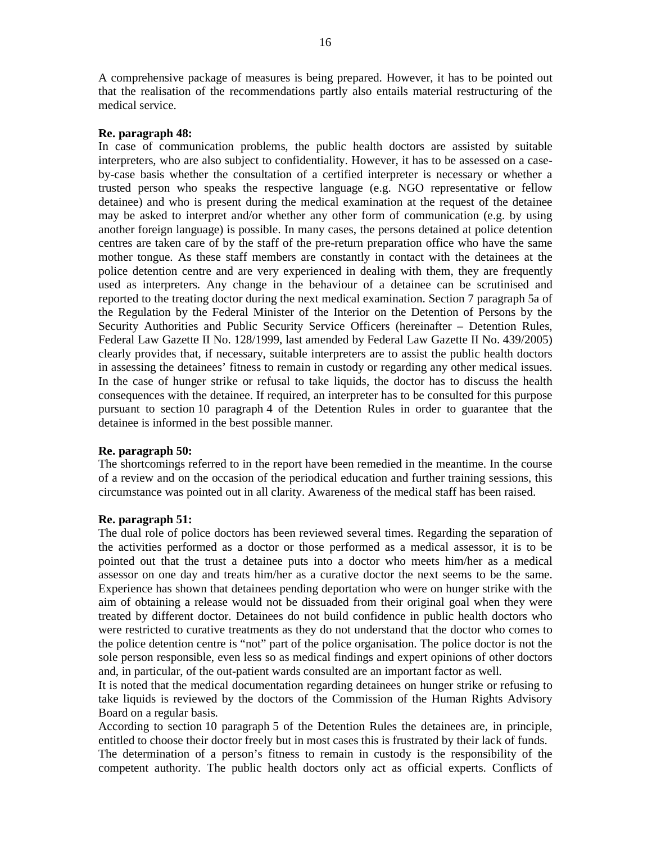A comprehensive package of measures is being prepared. However, it has to be pointed out that the realisation of the recommendations partly also entails material restructuring of the medical service.

#### **Re. paragraph 48:**

In case of communication problems, the public health doctors are assisted by suitable interpreters, who are also subject to confidentiality. However, it has to be assessed on a caseby-case basis whether the consultation of a certified interpreter is necessary or whether a trusted person who speaks the respective language (e.g. NGO representative or fellow detainee) and who is present during the medical examination at the request of the detainee may be asked to interpret and/or whether any other form of communication (e.g. by using another foreign language) is possible. In many cases, the persons detained at police detention centres are taken care of by the staff of the pre-return preparation office who have the same mother tongue. As these staff members are constantly in contact with the detainees at the police detention centre and are very experienced in dealing with them, they are frequently used as interpreters. Any change in the behaviour of a detainee can be scrutinised and reported to the treating doctor during the next medical examination. Section 7 paragraph 5a of the Regulation by the Federal Minister of the Interior on the Detention of Persons by the Security Authorities and Public Security Service Officers (hereinafter – Detention Rules, Federal Law Gazette II No. 128/1999, last amended by Federal Law Gazette II No. 439/2005) clearly provides that, if necessary, suitable interpreters are to assist the public health doctors in assessing the detainees' fitness to remain in custody or regarding any other medical issues. In the case of hunger strike or refusal to take liquids, the doctor has to discuss the health consequences with the detainee. If required, an interpreter has to be consulted for this purpose pursuant to section 10 paragraph 4 of the Detention Rules in order to guarantee that the detainee is informed in the best possible manner.

## **Re. paragraph 50:**

The shortcomings referred to in the report have been remedied in the meantime. In the course of a review and on the occasion of the periodical education and further training sessions, this circumstance was pointed out in all clarity. Awareness of the medical staff has been raised.

#### **Re. paragraph 51:**

The dual role of police doctors has been reviewed several times. Regarding the separation of the activities performed as a doctor or those performed as a medical assessor, it is to be pointed out that the trust a detainee puts into a doctor who meets him/her as a medical assessor on one day and treats him/her as a curative doctor the next seems to be the same. Experience has shown that detainees pending deportation who were on hunger strike with the aim of obtaining a release would not be dissuaded from their original goal when they were treated by different doctor. Detainees do not build confidence in public health doctors who were restricted to curative treatments as they do not understand that the doctor who comes to the police detention centre is "not" part of the police organisation. The police doctor is not the sole person responsible, even less so as medical findings and expert opinions of other doctors and, in particular, of the out-patient wards consulted are an important factor as well.

It is noted that the medical documentation regarding detainees on hunger strike or refusing to take liquids is reviewed by the doctors of the Commission of the Human Rights Advisory Board on a regular basis.

According to section 10 paragraph 5 of the Detention Rules the detainees are, in principle, entitled to choose their doctor freely but in most cases this is frustrated by their lack of funds.

The determination of a person's fitness to remain in custody is the responsibility of the competent authority. The public health doctors only act as official experts. Conflicts of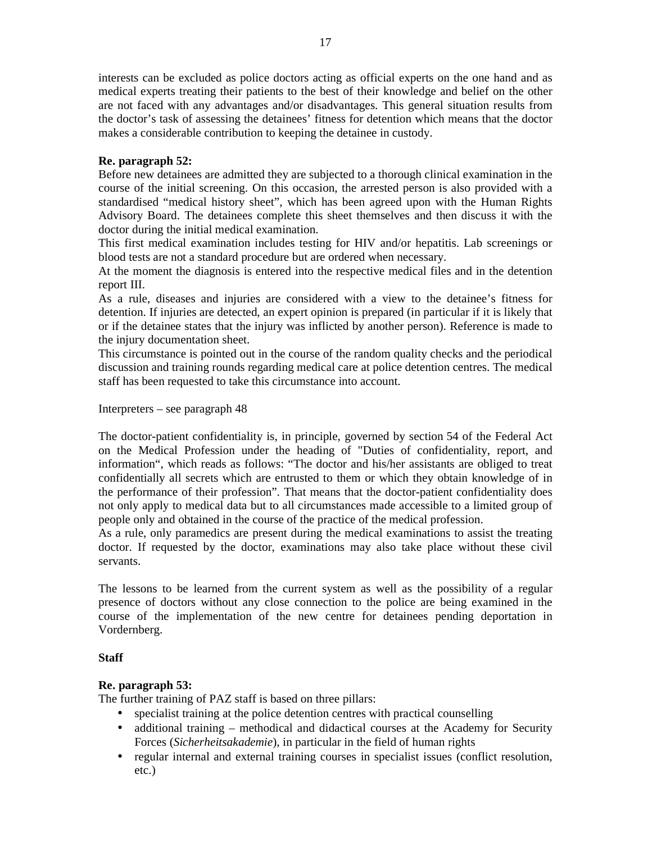interests can be excluded as police doctors acting as official experts on the one hand and as medical experts treating their patients to the best of their knowledge and belief on the other are not faced with any advantages and/or disadvantages. This general situation results from the doctor's task of assessing the detainees' fitness for detention which means that the doctor makes a considerable contribution to keeping the detainee in custody.

# **Re. paragraph 52:**

Before new detainees are admitted they are subjected to a thorough clinical examination in the course of the initial screening. On this occasion, the arrested person is also provided with a standardised "medical history sheet", which has been agreed upon with the Human Rights Advisory Board. The detainees complete this sheet themselves and then discuss it with the doctor during the initial medical examination.

This first medical examination includes testing for HIV and/or hepatitis. Lab screenings or blood tests are not a standard procedure but are ordered when necessary.

At the moment the diagnosis is entered into the respective medical files and in the detention report III.

As a rule, diseases and injuries are considered with a view to the detainee's fitness for detention. If injuries are detected, an expert opinion is prepared (in particular if it is likely that or if the detainee states that the injury was inflicted by another person). Reference is made to the injury documentation sheet.

This circumstance is pointed out in the course of the random quality checks and the periodical discussion and training rounds regarding medical care at police detention centres. The medical staff has been requested to take this circumstance into account.

Interpreters – see paragraph 48

The doctor-patient confidentiality is, in principle, governed by section 54 of the Federal Act on the Medical Profession under the heading of "Duties of confidentiality, report, and information", which reads as follows: "The doctor and his/her assistants are obliged to treat confidentially all secrets which are entrusted to them or which they obtain knowledge of in the performance of their profession". That means that the doctor-patient confidentiality does not only apply to medical data but to all circumstances made accessible to a limited group of people only and obtained in the course of the practice of the medical profession.

As a rule, only paramedics are present during the medical examinations to assist the treating doctor. If requested by the doctor, examinations may also take place without these civil servants.

The lessons to be learned from the current system as well as the possibility of a regular presence of doctors without any close connection to the police are being examined in the course of the implementation of the new centre for detainees pending deportation in Vordernberg.

# **Staff**

# **Re. paragraph 53:**

The further training of PAZ staff is based on three pillars:

- specialist training at the police detention centres with practical counselling
- additional training methodical and didactical courses at the Academy for Security Forces (*Sicherheitsakademie*), in particular in the field of human rights
- regular internal and external training courses in specialist issues (conflict resolution, etc.)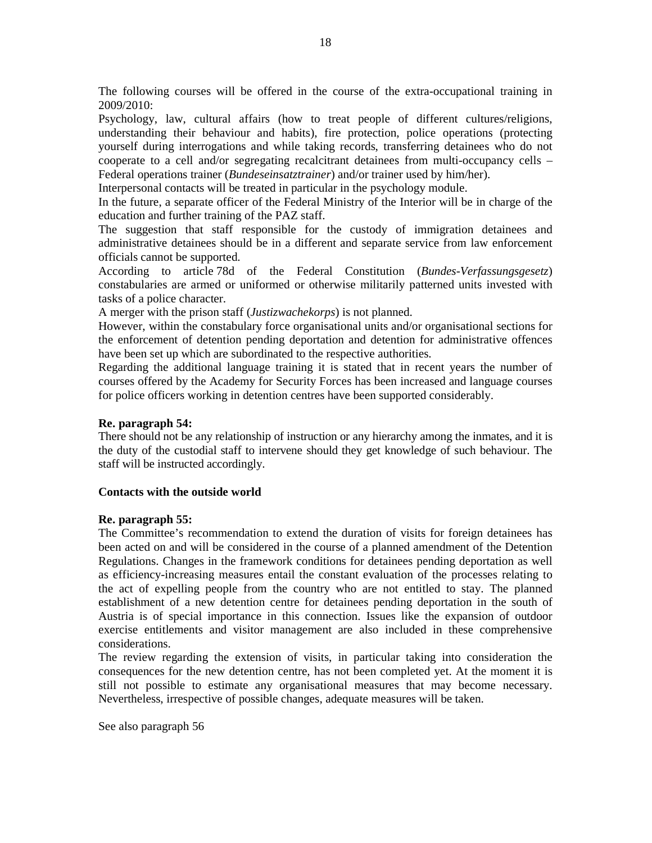The following courses will be offered in the course of the extra-occupational training in 2009/2010:

Psychology, law, cultural affairs (how to treat people of different cultures/religions, understanding their behaviour and habits), fire protection, police operations (protecting yourself during interrogations and while taking records, transferring detainees who do not cooperate to a cell and/or segregating recalcitrant detainees from multi-occupancy cells – Federal operations trainer (*Bundeseinsatztrainer*) and/or trainer used by him/her).

Interpersonal contacts will be treated in particular in the psychology module.

In the future, a separate officer of the Federal Ministry of the Interior will be in charge of the education and further training of the PAZ staff.

The suggestion that staff responsible for the custody of immigration detainees and administrative detainees should be in a different and separate service from law enforcement officials cannot be supported.

According to article 78d of the Federal Constitution (*Bundes-Verfassungsgesetz*) constabularies are armed or uniformed or otherwise militarily patterned units invested with tasks of a police character.

A merger with the prison staff (*Justizwachekorps*) is not planned.

However, within the constabulary force organisational units and/or organisational sections for the enforcement of detention pending deportation and detention for administrative offences have been set up which are subordinated to the respective authorities.

Regarding the additional language training it is stated that in recent years the number of courses offered by the Academy for Security Forces has been increased and language courses for police officers working in detention centres have been supported considerably.

# **Re. paragraph 54:**

There should not be any relationship of instruction or any hierarchy among the inmates, and it is the duty of the custodial staff to intervene should they get knowledge of such behaviour. The staff will be instructed accordingly.

## **Contacts with the outside world**

## **Re. paragraph 55:**

The Committee's recommendation to extend the duration of visits for foreign detainees has been acted on and will be considered in the course of a planned amendment of the Detention Regulations. Changes in the framework conditions for detainees pending deportation as well as efficiency-increasing measures entail the constant evaluation of the processes relating to the act of expelling people from the country who are not entitled to stay. The planned establishment of a new detention centre for detainees pending deportation in the south of Austria is of special importance in this connection. Issues like the expansion of outdoor exercise entitlements and visitor management are also included in these comprehensive considerations.

The review regarding the extension of visits, in particular taking into consideration the consequences for the new detention centre, has not been completed yet. At the moment it is still not possible to estimate any organisational measures that may become necessary. Nevertheless, irrespective of possible changes, adequate measures will be taken.

See also paragraph 56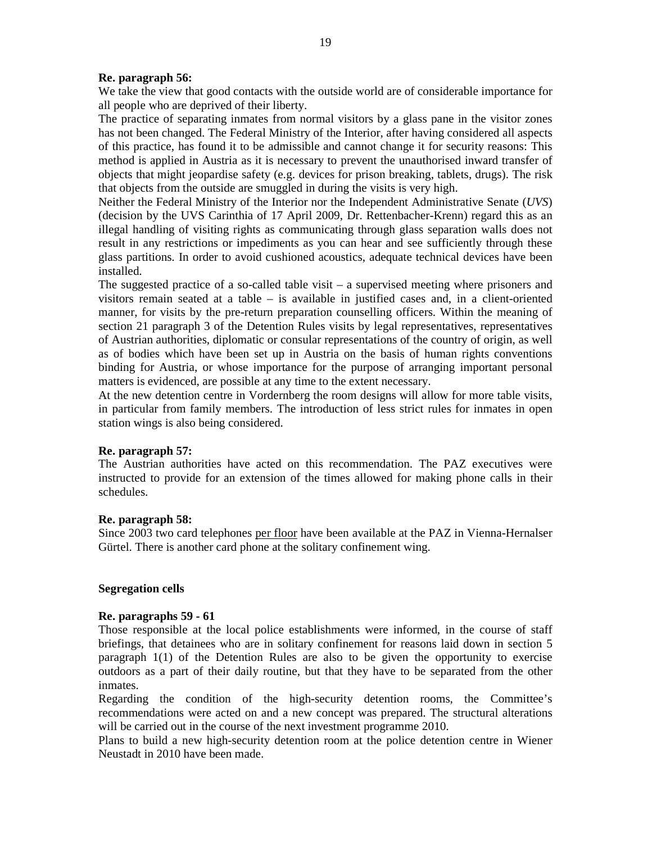## **Re. paragraph 56:**

We take the view that good contacts with the outside world are of considerable importance for all people who are deprived of their liberty.

The practice of separating inmates from normal visitors by a glass pane in the visitor zones has not been changed. The Federal Ministry of the Interior, after having considered all aspects of this practice, has found it to be admissible and cannot change it for security reasons: This method is applied in Austria as it is necessary to prevent the unauthorised inward transfer of objects that might jeopardise safety (e.g. devices for prison breaking, tablets, drugs). The risk that objects from the outside are smuggled in during the visits is very high.

Neither the Federal Ministry of the Interior nor the Independent Administrative Senate (*UVS*) (decision by the UVS Carinthia of 17 April 2009, Dr. Rettenbacher-Krenn) regard this as an illegal handling of visiting rights as communicating through glass separation walls does not result in any restrictions or impediments as you can hear and see sufficiently through these glass partitions. In order to avoid cushioned acoustics, adequate technical devices have been installed.

The suggested practice of a so-called table visit – a supervised meeting where prisoners and visitors remain seated at a table – is available in justified cases and, in a client-oriented manner, for visits by the pre-return preparation counselling officers. Within the meaning of section 21 paragraph 3 of the Detention Rules visits by legal representatives, representatives of Austrian authorities, diplomatic or consular representations of the country of origin, as well as of bodies which have been set up in Austria on the basis of human rights conventions binding for Austria, or whose importance for the purpose of arranging important personal matters is evidenced, are possible at any time to the extent necessary.

At the new detention centre in Vordernberg the room designs will allow for more table visits, in particular from family members. The introduction of less strict rules for inmates in open station wings is also being considered.

## **Re. paragraph 57:**

The Austrian authorities have acted on this recommendation. The PAZ executives were instructed to provide for an extension of the times allowed for making phone calls in their schedules.

## **Re. paragraph 58:**

Since 2003 two card telephones per floor have been available at the PAZ in Vienna-Hernalser Gürtel. There is another card phone at the solitary confinement wing.

## **Segregation cells**

## **Re. paragraphs 59 - 61**

Those responsible at the local police establishments were informed, in the course of staff briefings, that detainees who are in solitary confinement for reasons laid down in section 5 paragraph 1(1) of the Detention Rules are also to be given the opportunity to exercise outdoors as a part of their daily routine, but that they have to be separated from the other inmates.

Regarding the condition of the high-security detention rooms, the Committee's recommendations were acted on and a new concept was prepared. The structural alterations will be carried out in the course of the next investment programme 2010.

Plans to build a new high-security detention room at the police detention centre in Wiener Neustadt in 2010 have been made.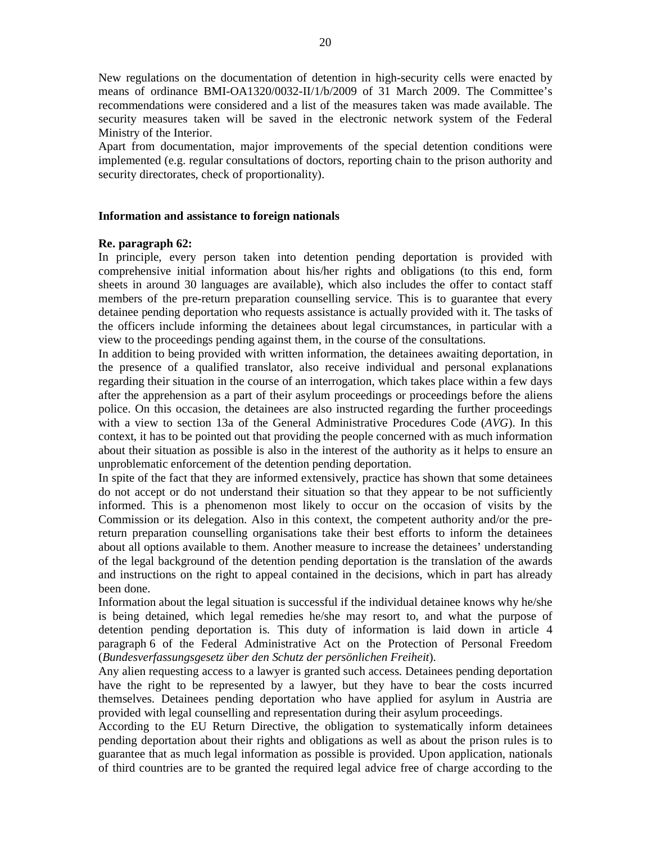New regulations on the documentation of detention in high-security cells were enacted by means of ordinance BMI-OA1320/0032-II/1/b/2009 of 31 March 2009. The Committee's recommendations were considered and a list of the measures taken was made available. The security measures taken will be saved in the electronic network system of the Federal Ministry of the Interior.

Apart from documentation, major improvements of the special detention conditions were implemented (e.g. regular consultations of doctors, reporting chain to the prison authority and security directorates, check of proportionality).

# **Information and assistance to foreign nationals**

# **Re. paragraph 62:**

In principle, every person taken into detention pending deportation is provided with comprehensive initial information about his/her rights and obligations (to this end, form sheets in around 30 languages are available), which also includes the offer to contact staff members of the pre-return preparation counselling service. This is to guarantee that every detainee pending deportation who requests assistance is actually provided with it. The tasks of the officers include informing the detainees about legal circumstances, in particular with a view to the proceedings pending against them, in the course of the consultations.

In addition to being provided with written information, the detainees awaiting deportation, in the presence of a qualified translator, also receive individual and personal explanations regarding their situation in the course of an interrogation, which takes place within a few days after the apprehension as a part of their asylum proceedings or proceedings before the aliens police. On this occasion, the detainees are also instructed regarding the further proceedings with a view to section 13a of the General Administrative Procedures Code (*AVG*). In this context, it has to be pointed out that providing the people concerned with as much information about their situation as possible is also in the interest of the authority as it helps to ensure an unproblematic enforcement of the detention pending deportation.

In spite of the fact that they are informed extensively, practice has shown that some detainees do not accept or do not understand their situation so that they appear to be not sufficiently informed. This is a phenomenon most likely to occur on the occasion of visits by the Commission or its delegation. Also in this context, the competent authority and/or the prereturn preparation counselling organisations take their best efforts to inform the detainees about all options available to them. Another measure to increase the detainees' understanding of the legal background of the detention pending deportation is the translation of the awards and instructions on the right to appeal contained in the decisions, which in part has already been done.

Information about the legal situation is successful if the individual detainee knows why he/she is being detained, which legal remedies he/she may resort to, and what the purpose of detention pending deportation is. This duty of information is laid down in article 4 paragraph 6 of the Federal Administrative Act on the Protection of Personal Freedom (*Bundesverfassungsgesetz über den Schutz der persönlichen Freiheit*).

Any alien requesting access to a lawyer is granted such access. Detainees pending deportation have the right to be represented by a lawyer, but they have to bear the costs incurred themselves. Detainees pending deportation who have applied for asylum in Austria are provided with legal counselling and representation during their asylum proceedings.

According to the EU Return Directive, the obligation to systematically inform detainees pending deportation about their rights and obligations as well as about the prison rules is to guarantee that as much legal information as possible is provided. Upon application, nationals of third countries are to be granted the required legal advice free of charge according to the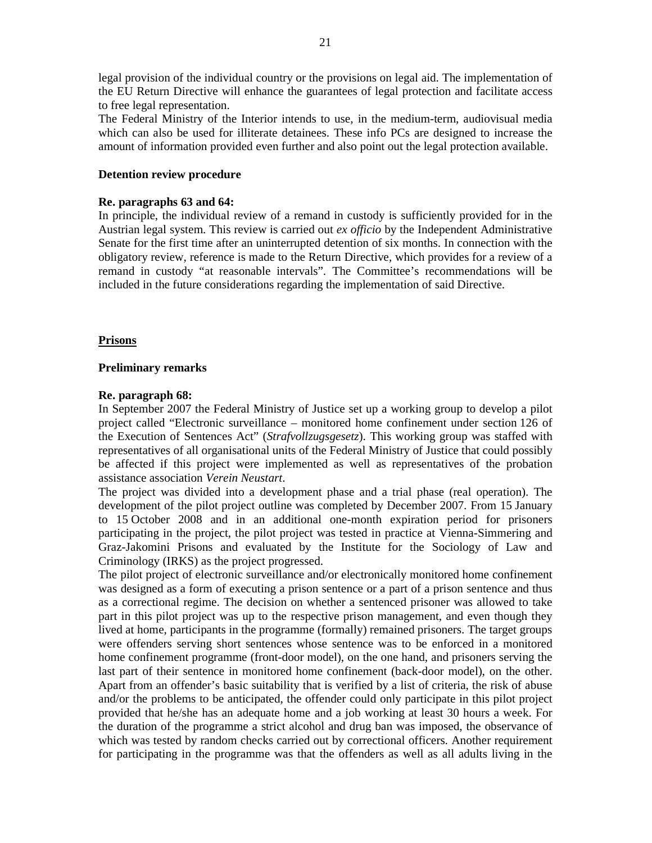legal provision of the individual country or the provisions on legal aid. The implementation of the EU Return Directive will enhance the guarantees of legal protection and facilitate access to free legal representation.

The Federal Ministry of the Interior intends to use, in the medium-term, audiovisual media which can also be used for illiterate detainees. These info PCs are designed to increase the amount of information provided even further and also point out the legal protection available.

# **Detention review procedure**

#### **Re. paragraphs 63 and 64:**

In principle, the individual review of a remand in custody is sufficiently provided for in the Austrian legal system. This review is carried out *ex officio* by the Independent Administrative Senate for the first time after an uninterrupted detention of six months. In connection with the obligatory review, reference is made to the Return Directive, which provides for a review of a remand in custody "at reasonable intervals". The Committee's recommendations will be included in the future considerations regarding the implementation of said Directive.

## **Prisons**

#### **Preliminary remarks**

#### **Re. paragraph 68:**

In September 2007 the Federal Ministry of Justice set up a working group to develop a pilot project called "Electronic surveillance – monitored home confinement under section 126 of the Execution of Sentences Act" (*Strafvollzugsgesetz*). This working group was staffed with representatives of all organisational units of the Federal Ministry of Justice that could possibly be affected if this project were implemented as well as representatives of the probation assistance association *Verein Neustart*.

The project was divided into a development phase and a trial phase (real operation). The development of the pilot project outline was completed by December 2007. From 15 January to 15 October 2008 and in an additional one-month expiration period for prisoners participating in the project, the pilot project was tested in practice at Vienna-Simmering and Graz-Jakomini Prisons and evaluated by the Institute for the Sociology of Law and Criminology (IRKS) as the project progressed.

The pilot project of electronic surveillance and/or electronically monitored home confinement was designed as a form of executing a prison sentence or a part of a prison sentence and thus as a correctional regime. The decision on whether a sentenced prisoner was allowed to take part in this pilot project was up to the respective prison management, and even though they lived at home, participants in the programme (formally) remained prisoners. The target groups were offenders serving short sentences whose sentence was to be enforced in a monitored home confinement programme (front-door model), on the one hand, and prisoners serving the last part of their sentence in monitored home confinement (back-door model), on the other. Apart from an offender's basic suitability that is verified by a list of criteria, the risk of abuse and/or the problems to be anticipated, the offender could only participate in this pilot project provided that he/she has an adequate home and a job working at least 30 hours a week. For the duration of the programme a strict alcohol and drug ban was imposed, the observance of which was tested by random checks carried out by correctional officers. Another requirement for participating in the programme was that the offenders as well as all adults living in the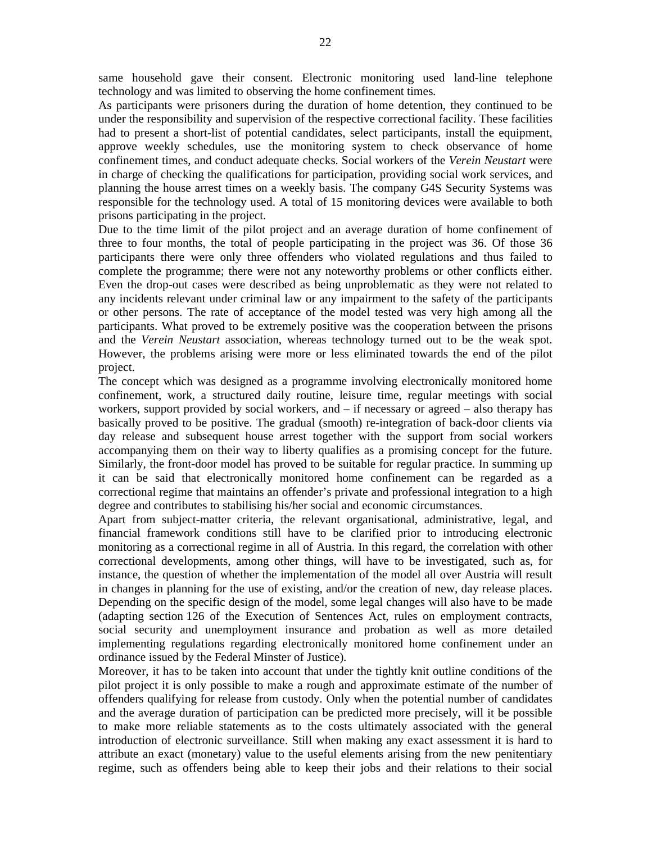same household gave their consent. Electronic monitoring used land-line telephone technology and was limited to observing the home confinement times.

As participants were prisoners during the duration of home detention, they continued to be under the responsibility and supervision of the respective correctional facility. These facilities had to present a short-list of potential candidates, select participants, install the equipment, approve weekly schedules, use the monitoring system to check observance of home confinement times, and conduct adequate checks. Social workers of the *Verein Neustart* were in charge of checking the qualifications for participation, providing social work services, and planning the house arrest times on a weekly basis. The company G4S Security Systems was responsible for the technology used. A total of 15 monitoring devices were available to both prisons participating in the project.

Due to the time limit of the pilot project and an average duration of home confinement of three to four months, the total of people participating in the project was 36. Of those 36 participants there were only three offenders who violated regulations and thus failed to complete the programme; there were not any noteworthy problems or other conflicts either. Even the drop-out cases were described as being unproblematic as they were not related to any incidents relevant under criminal law or any impairment to the safety of the participants or other persons. The rate of acceptance of the model tested was very high among all the participants. What proved to be extremely positive was the cooperation between the prisons and the *Verein Neustart* association, whereas technology turned out to be the weak spot. However, the problems arising were more or less eliminated towards the end of the pilot project.

The concept which was designed as a programme involving electronically monitored home confinement, work, a structured daily routine, leisure time, regular meetings with social workers, support provided by social workers, and – if necessary or agreed – also therapy has basically proved to be positive. The gradual (smooth) re-integration of back-door clients via day release and subsequent house arrest together with the support from social workers accompanying them on their way to liberty qualifies as a promising concept for the future. Similarly, the front-door model has proved to be suitable for regular practice. In summing up it can be said that electronically monitored home confinement can be regarded as a correctional regime that maintains an offender's private and professional integration to a high degree and contributes to stabilising his/her social and economic circumstances.

Apart from subject-matter criteria, the relevant organisational, administrative, legal, and financial framework conditions still have to be clarified prior to introducing electronic monitoring as a correctional regime in all of Austria. In this regard, the correlation with other correctional developments, among other things, will have to be investigated, such as, for instance, the question of whether the implementation of the model all over Austria will result in changes in planning for the use of existing, and/or the creation of new, day release places. Depending on the specific design of the model, some legal changes will also have to be made (adapting section 126 of the Execution of Sentences Act, rules on employment contracts, social security and unemployment insurance and probation as well as more detailed implementing regulations regarding electronically monitored home confinement under an ordinance issued by the Federal Minster of Justice).

Moreover, it has to be taken into account that under the tightly knit outline conditions of the pilot project it is only possible to make a rough and approximate estimate of the number of offenders qualifying for release from custody. Only when the potential number of candidates and the average duration of participation can be predicted more precisely, will it be possible to make more reliable statements as to the costs ultimately associated with the general introduction of electronic surveillance. Still when making any exact assessment it is hard to attribute an exact (monetary) value to the useful elements arising from the new penitentiary regime, such as offenders being able to keep their jobs and their relations to their social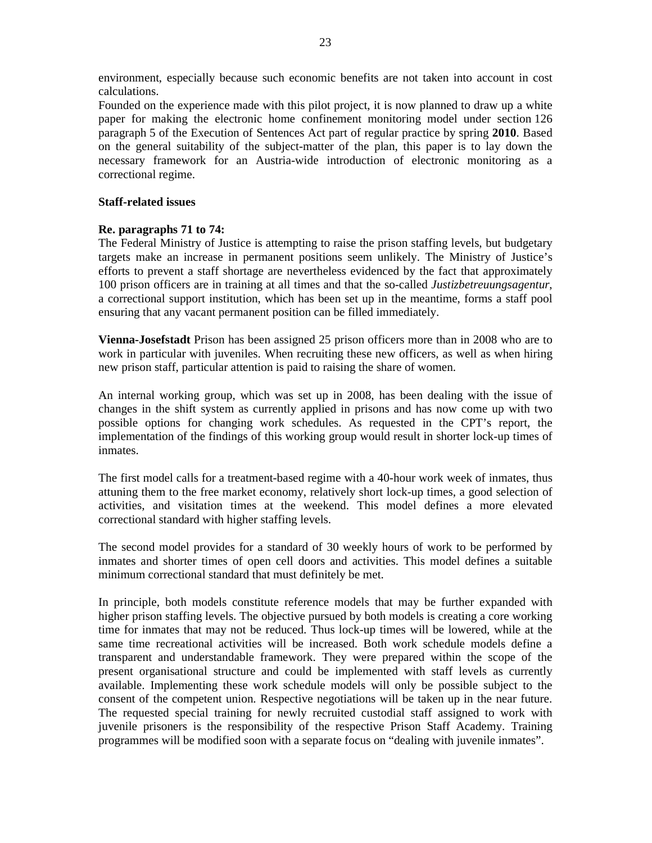environment, especially because such economic benefits are not taken into account in cost calculations.

Founded on the experience made with this pilot project, it is now planned to draw up a white paper for making the electronic home confinement monitoring model under section 126 paragraph 5 of the Execution of Sentences Act part of regular practice by spring **2010**. Based on the general suitability of the subject-matter of the plan, this paper is to lay down the necessary framework for an Austria-wide introduction of electronic monitoring as a correctional regime.

# **Staff-related issues**

# **Re. paragraphs 71 to 74:**

The Federal Ministry of Justice is attempting to raise the prison staffing levels, but budgetary targets make an increase in permanent positions seem unlikely. The Ministry of Justice's efforts to prevent a staff shortage are nevertheless evidenced by the fact that approximately 100 prison officers are in training at all times and that the so-called *Justizbetreuungsagentur*, a correctional support institution, which has been set up in the meantime, forms a staff pool ensuring that any vacant permanent position can be filled immediately.

**Vienna-Josefstadt** Prison has been assigned 25 prison officers more than in 2008 who are to work in particular with juveniles. When recruiting these new officers, as well as when hiring new prison staff, particular attention is paid to raising the share of women.

An internal working group, which was set up in 2008, has been dealing with the issue of changes in the shift system as currently applied in prisons and has now come up with two possible options for changing work schedules. As requested in the CPT's report, the implementation of the findings of this working group would result in shorter lock-up times of inmates.

The first model calls for a treatment-based regime with a 40-hour work week of inmates, thus attuning them to the free market economy, relatively short lock-up times, a good selection of activities, and visitation times at the weekend. This model defines a more elevated correctional standard with higher staffing levels.

The second model provides for a standard of 30 weekly hours of work to be performed by inmates and shorter times of open cell doors and activities. This model defines a suitable minimum correctional standard that must definitely be met.

In principle, both models constitute reference models that may be further expanded with higher prison staffing levels. The objective pursued by both models is creating a core working time for inmates that may not be reduced. Thus lock-up times will be lowered, while at the same time recreational activities will be increased. Both work schedule models define a transparent and understandable framework. They were prepared within the scope of the present organisational structure and could be implemented with staff levels as currently available. Implementing these work schedule models will only be possible subject to the consent of the competent union. Respective negotiations will be taken up in the near future. The requested special training for newly recruited custodial staff assigned to work with juvenile prisoners is the responsibility of the respective Prison Staff Academy. Training programmes will be modified soon with a separate focus on "dealing with juvenile inmates".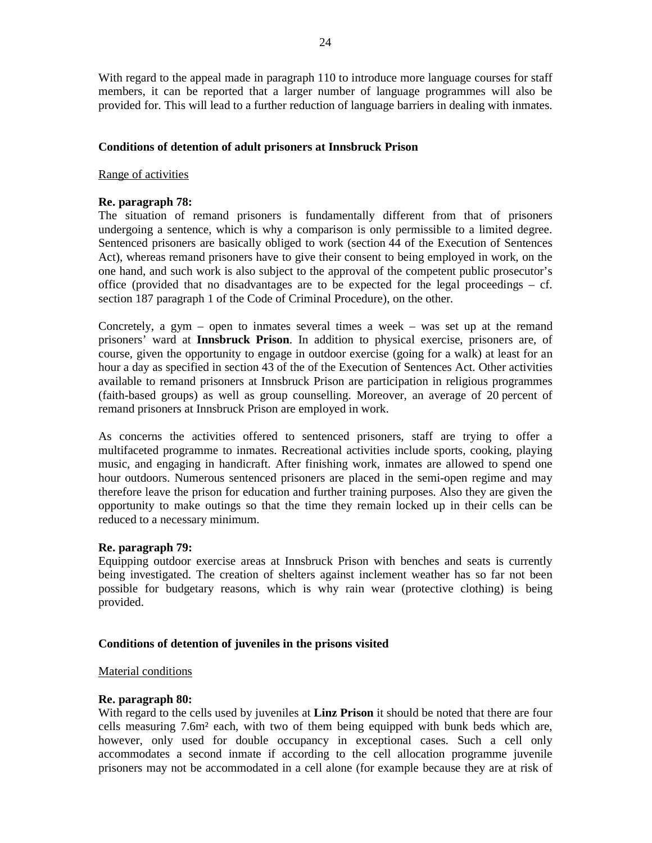With regard to the appeal made in paragraph 110 to introduce more language courses for staff members, it can be reported that a larger number of language programmes will also be provided for. This will lead to a further reduction of language barriers in dealing with inmates.

# **Conditions of detention of adult prisoners at Innsbruck Prison**

# Range of activities

# **Re. paragraph 78:**

The situation of remand prisoners is fundamentally different from that of prisoners undergoing a sentence, which is why a comparison is only permissible to a limited degree. Sentenced prisoners are basically obliged to work (section 44 of the Execution of Sentences Act), whereas remand prisoners have to give their consent to being employed in work, on the one hand, and such work is also subject to the approval of the competent public prosecutor's office (provided that no disadvantages are to be expected for the legal proceedings  $-$  cf. section 187 paragraph 1 of the Code of Criminal Procedure), on the other.

Concretely, a gym – open to inmates several times a week – was set up at the remand prisoners' ward at **Innsbruck Prison**. In addition to physical exercise, prisoners are, of course, given the opportunity to engage in outdoor exercise (going for a walk) at least for an hour a day as specified in section 43 of the of the Execution of Sentences Act. Other activities available to remand prisoners at Innsbruck Prison are participation in religious programmes (faith-based groups) as well as group counselling. Moreover, an average of 20 percent of remand prisoners at Innsbruck Prison are employed in work.

As concerns the activities offered to sentenced prisoners, staff are trying to offer a multifaceted programme to inmates. Recreational activities include sports, cooking, playing music, and engaging in handicraft. After finishing work, inmates are allowed to spend one hour outdoors. Numerous sentenced prisoners are placed in the semi-open regime and may therefore leave the prison for education and further training purposes. Also they are given the opportunity to make outings so that the time they remain locked up in their cells can be reduced to a necessary minimum.

## **Re. paragraph 79:**

Equipping outdoor exercise areas at Innsbruck Prison with benches and seats is currently being investigated. The creation of shelters against inclement weather has so far not been possible for budgetary reasons, which is why rain wear (protective clothing) is being provided.

## **Conditions of detention of juveniles in the prisons visited**

## Material conditions

## **Re. paragraph 80:**

With regard to the cells used by juveniles at **Linz Prison** it should be noted that there are four cells measuring 7.6m² each, with two of them being equipped with bunk beds which are, however, only used for double occupancy in exceptional cases. Such a cell only accommodates a second inmate if according to the cell allocation programme juvenile prisoners may not be accommodated in a cell alone (for example because they are at risk of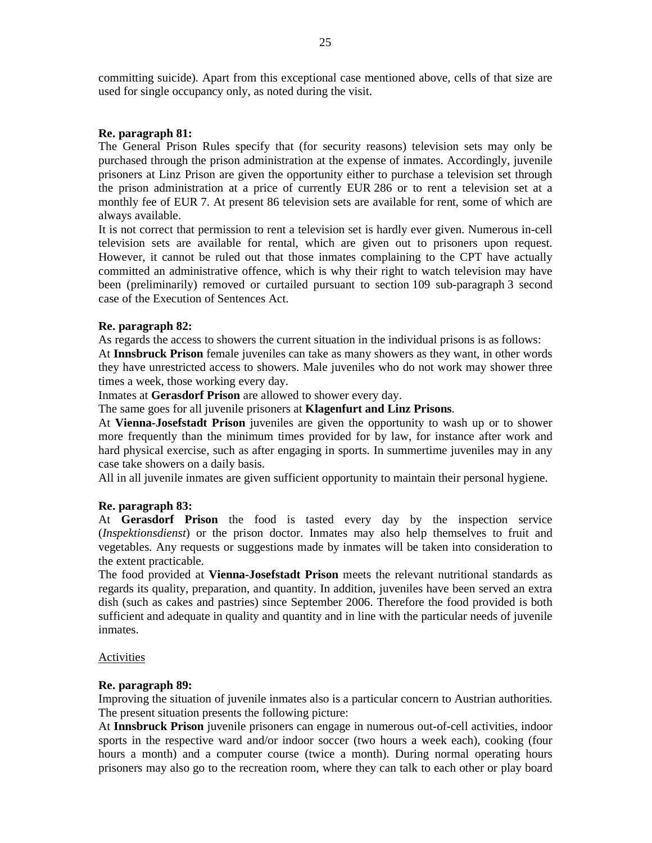committing suicide). Apart from this exceptional case mentioned above, cells of that size are used for single occupancy only, as noted during the visit.

# **Re. paragraph 81:**

The General Prison Rules specify that (for security reasons) television sets may only be purchased through the prison administration at the expense of inmates. Accordingly, juvenile prisoners at Linz Prison are given the opportunity either to purchase a television set through the prison administration at a price of currently EUR 286 or to rent a television set at a monthly fee of EUR 7. At present 86 television sets are available for rent, some of which are always available.

It is not correct that permission to rent a television set is hardly ever given. Numerous in-cell television sets are available for rental, which are given out to prisoners upon request. However, it cannot be ruled out that those inmates complaining to the CPT have actually committed an administrative offence, which is why their right to watch television may have been (preliminarily) removed or curtailed pursuant to section 109 sub-paragraph 3 second case of the Execution of Sentences Act.

# **Re. paragraph 82:**

As regards the access to showers the current situation in the individual prisons is as follows:

At **Innsbruck Prison** female juveniles can take as many showers as they want, in other words they have unrestricted access to showers. Male juveniles who do not work may shower three times a week, those working every day.

Inmates at **Gerasdorf Prison** are allowed to shower every day.

The same goes for all juvenile prisoners at **Klagenfurt and Linz Prisons**.

At **Vienna-Josefstadt Prison** juveniles are given the opportunity to wash up or to shower more frequently than the minimum times provided for by law, for instance after work and hard physical exercise, such as after engaging in sports. In summertime juveniles may in any case take showers on a daily basis.

All in all juvenile inmates are given sufficient opportunity to maintain their personal hygiene.

# **Re. paragraph 83:**

At **Gerasdorf Prison** the food is tasted every day by the inspection service (*Inspektionsdienst*) or the prison doctor. Inmates may also help themselves to fruit and vegetables. Any requests or suggestions made by inmates will be taken into consideration to the extent practicable.

The food provided at **Vienna-Josefstadt Prison** meets the relevant nutritional standards as regards its quality, preparation, and quantity. In addition, juveniles have been served an extra dish (such as cakes and pastries) since September 2006. Therefore the food provided is both sufficient and adequate in quality and quantity and in line with the particular needs of juvenile inmates.

## Activities

# **Re. paragraph 89:**

Improving the situation of juvenile inmates also is a particular concern to Austrian authorities. The present situation presents the following picture:

At **Innsbruck Prison** juvenile prisoners can engage in numerous out-of-cell activities, indoor sports in the respective ward and/or indoor soccer (two hours a week each), cooking (four hours a month) and a computer course (twice a month). During normal operating hours prisoners may also go to the recreation room, where they can talk to each other or play board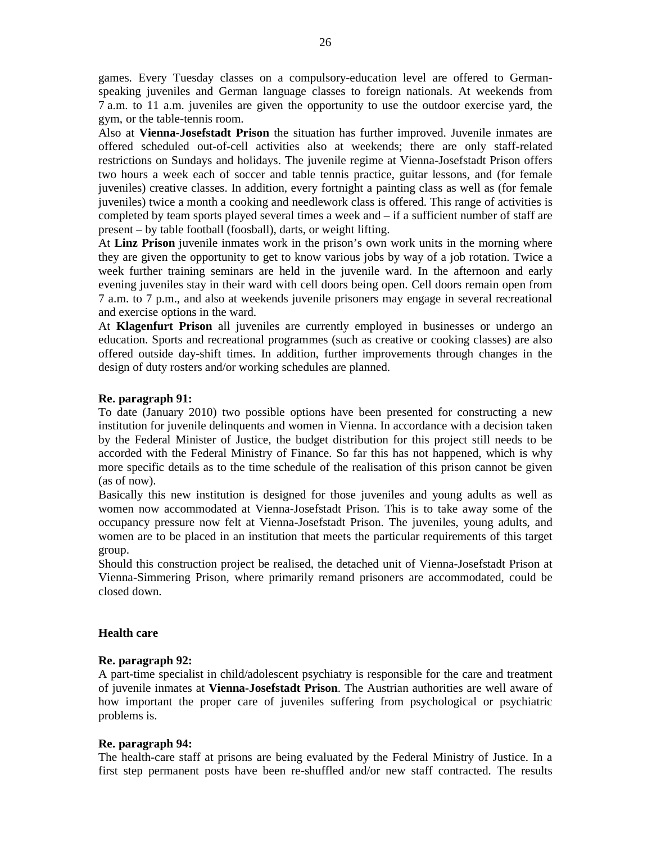games. Every Tuesday classes on a compulsory-education level are offered to Germanspeaking juveniles and German language classes to foreign nationals. At weekends from 7 a.m. to 11 a.m. juveniles are given the opportunity to use the outdoor exercise yard, the gym, or the table-tennis room.

Also at **Vienna-Josefstadt Prison** the situation has further improved. Juvenile inmates are offered scheduled out-of-cell activities also at weekends; there are only staff-related restrictions on Sundays and holidays. The juvenile regime at Vienna-Josefstadt Prison offers two hours a week each of soccer and table tennis practice, guitar lessons, and (for female juveniles) creative classes. In addition, every fortnight a painting class as well as (for female juveniles) twice a month a cooking and needlework class is offered. This range of activities is completed by team sports played several times a week and  $-$  if a sufficient number of staff are present – by table football (foosball), darts, or weight lifting.

At **Linz Prison** juvenile inmates work in the prison's own work units in the morning where they are given the opportunity to get to know various jobs by way of a job rotation. Twice a week further training seminars are held in the juvenile ward. In the afternoon and early evening juveniles stay in their ward with cell doors being open. Cell doors remain open from 7 a.m. to 7 p.m., and also at weekends juvenile prisoners may engage in several recreational and exercise options in the ward.

At **Klagenfurt Prison** all juveniles are currently employed in businesses or undergo an education. Sports and recreational programmes (such as creative or cooking classes) are also offered outside day-shift times. In addition, further improvements through changes in the design of duty rosters and/or working schedules are planned.

# **Re. paragraph 91:**

To date (January 2010) two possible options have been presented for constructing a new institution for juvenile delinquents and women in Vienna. In accordance with a decision taken by the Federal Minister of Justice, the budget distribution for this project still needs to be accorded with the Federal Ministry of Finance. So far this has not happened, which is why more specific details as to the time schedule of the realisation of this prison cannot be given (as of now).

Basically this new institution is designed for those juveniles and young adults as well as women now accommodated at Vienna-Josefstadt Prison. This is to take away some of the occupancy pressure now felt at Vienna-Josefstadt Prison. The juveniles, young adults, and women are to be placed in an institution that meets the particular requirements of this target group.

Should this construction project be realised, the detached unit of Vienna-Josefstadt Prison at Vienna-Simmering Prison, where primarily remand prisoners are accommodated, could be closed down.

# **Health care**

# **Re. paragraph 92:**

A part-time specialist in child/adolescent psychiatry is responsible for the care and treatment of juvenile inmates at **Vienna-Josefstadt Prison**. The Austrian authorities are well aware of how important the proper care of juveniles suffering from psychological or psychiatric problems is.

## **Re. paragraph 94:**

The health-care staff at prisons are being evaluated by the Federal Ministry of Justice. In a first step permanent posts have been re-shuffled and/or new staff contracted. The results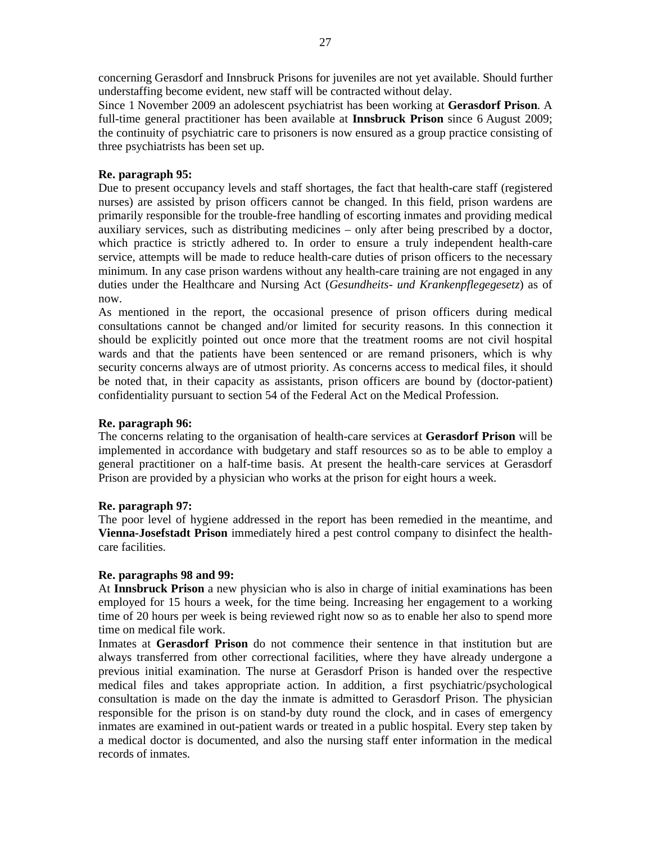concerning Gerasdorf and Innsbruck Prisons for juveniles are not yet available. Should further understaffing become evident, new staff will be contracted without delay.

Since 1 November 2009 an adolescent psychiatrist has been working at **Gerasdorf Prison**. A full-time general practitioner has been available at **Innsbruck Prison** since 6 August 2009; the continuity of psychiatric care to prisoners is now ensured as a group practice consisting of three psychiatrists has been set up.

# **Re. paragraph 95:**

Due to present occupancy levels and staff shortages, the fact that health-care staff (registered nurses) are assisted by prison officers cannot be changed. In this field, prison wardens are primarily responsible for the trouble-free handling of escorting inmates and providing medical auxiliary services, such as distributing medicines – only after being prescribed by a doctor, which practice is strictly adhered to. In order to ensure a truly independent health-care service, attempts will be made to reduce health-care duties of prison officers to the necessary minimum. In any case prison wardens without any health-care training are not engaged in any duties under the Healthcare and Nursing Act (*Gesundheits- und Krankenpflegegesetz*) as of now.

As mentioned in the report, the occasional presence of prison officers during medical consultations cannot be changed and/or limited for security reasons. In this connection it should be explicitly pointed out once more that the treatment rooms are not civil hospital wards and that the patients have been sentenced or are remand prisoners, which is why security concerns always are of utmost priority. As concerns access to medical files, it should be noted that, in their capacity as assistants, prison officers are bound by (doctor-patient) confidentiality pursuant to section 54 of the Federal Act on the Medical Profession.

# **Re. paragraph 96:**

The concerns relating to the organisation of health-care services at **Gerasdorf Prison** will be implemented in accordance with budgetary and staff resources so as to be able to employ a general practitioner on a half-time basis. At present the health-care services at Gerasdorf Prison are provided by a physician who works at the prison for eight hours a week.

# **Re. paragraph 97:**

The poor level of hygiene addressed in the report has been remedied in the meantime, and **Vienna-Josefstadt Prison** immediately hired a pest control company to disinfect the healthcare facilities.

# **Re. paragraphs 98 and 99:**

At **Innsbruck Prison** a new physician who is also in charge of initial examinations has been employed for 15 hours a week, for the time being. Increasing her engagement to a working time of 20 hours per week is being reviewed right now so as to enable her also to spend more time on medical file work.

Inmates at **Gerasdorf Prison** do not commence their sentence in that institution but are always transferred from other correctional facilities, where they have already undergone a previous initial examination. The nurse at Gerasdorf Prison is handed over the respective medical files and takes appropriate action. In addition, a first psychiatric/psychological consultation is made on the day the inmate is admitted to Gerasdorf Prison. The physician responsible for the prison is on stand-by duty round the clock, and in cases of emergency inmates are examined in out-patient wards or treated in a public hospital. Every step taken by a medical doctor is documented, and also the nursing staff enter information in the medical records of inmates.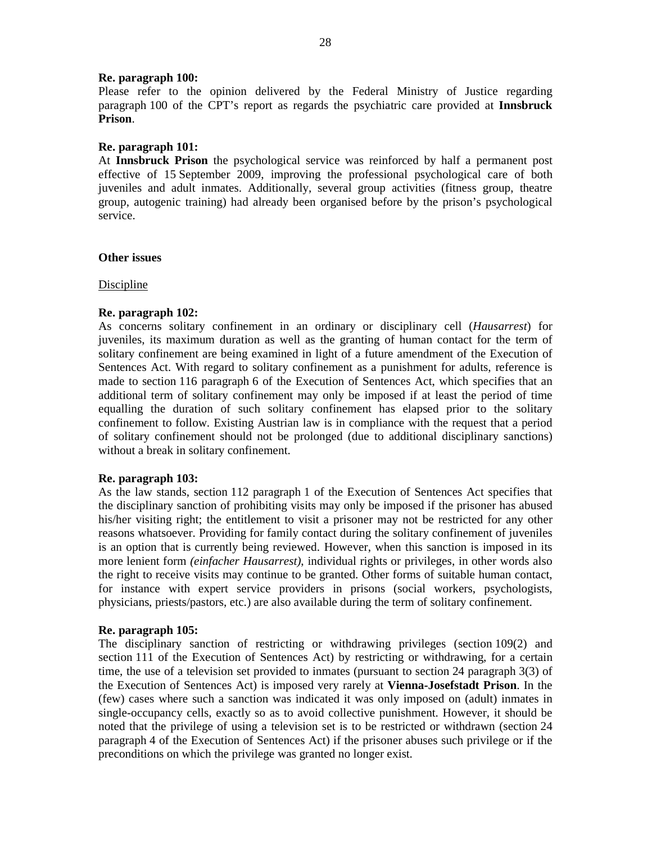#### **Re. paragraph 100:**

Please refer to the opinion delivered by the Federal Ministry of Justice regarding paragraph 100 of the CPT's report as regards the psychiatric care provided at **Innsbruck Prison**.

# **Re. paragraph 101:**

At **Innsbruck Prison** the psychological service was reinforced by half a permanent post effective of 15 September 2009, improving the professional psychological care of both juveniles and adult inmates. Additionally, several group activities (fitness group, theatre group, autogenic training) had already been organised before by the prison's psychological service.

# **Other issues**

#### Discipline

## **Re. paragraph 102:**

As concerns solitary confinement in an ordinary or disciplinary cell (*Hausarrest*) for juveniles, its maximum duration as well as the granting of human contact for the term of solitary confinement are being examined in light of a future amendment of the Execution of Sentences Act. With regard to solitary confinement as a punishment for adults, reference is made to section 116 paragraph 6 of the Execution of Sentences Act, which specifies that an additional term of solitary confinement may only be imposed if at least the period of time equalling the duration of such solitary confinement has elapsed prior to the solitary confinement to follow. Existing Austrian law is in compliance with the request that a period of solitary confinement should not be prolonged (due to additional disciplinary sanctions) without a break in solitary confinement.

#### **Re. paragraph 103:**

As the law stands, section 112 paragraph 1 of the Execution of Sentences Act specifies that the disciplinary sanction of prohibiting visits may only be imposed if the prisoner has abused his/her visiting right; the entitlement to visit a prisoner may not be restricted for any other reasons whatsoever. Providing for family contact during the solitary confinement of juveniles is an option that is currently being reviewed. However, when this sanction is imposed in its more lenient form *(einfacher Hausarrest)*, individual rights or privileges, in other words also the right to receive visits may continue to be granted. Other forms of suitable human contact, for instance with expert service providers in prisons (social workers, psychologists, physicians, priests/pastors, etc.) are also available during the term of solitary confinement.

#### **Re. paragraph 105:**

The disciplinary sanction of restricting or withdrawing privileges (section 109(2) and section 111 of the Execution of Sentences Act) by restricting or withdrawing, for a certain time, the use of a television set provided to inmates (pursuant to section 24 paragraph 3(3) of the Execution of Sentences Act) is imposed very rarely at **Vienna-Josefstadt Prison**. In the (few) cases where such a sanction was indicated it was only imposed on (adult) inmates in single-occupancy cells, exactly so as to avoid collective punishment. However, it should be noted that the privilege of using a television set is to be restricted or withdrawn (section 24 paragraph 4 of the Execution of Sentences Act) if the prisoner abuses such privilege or if the preconditions on which the privilege was granted no longer exist.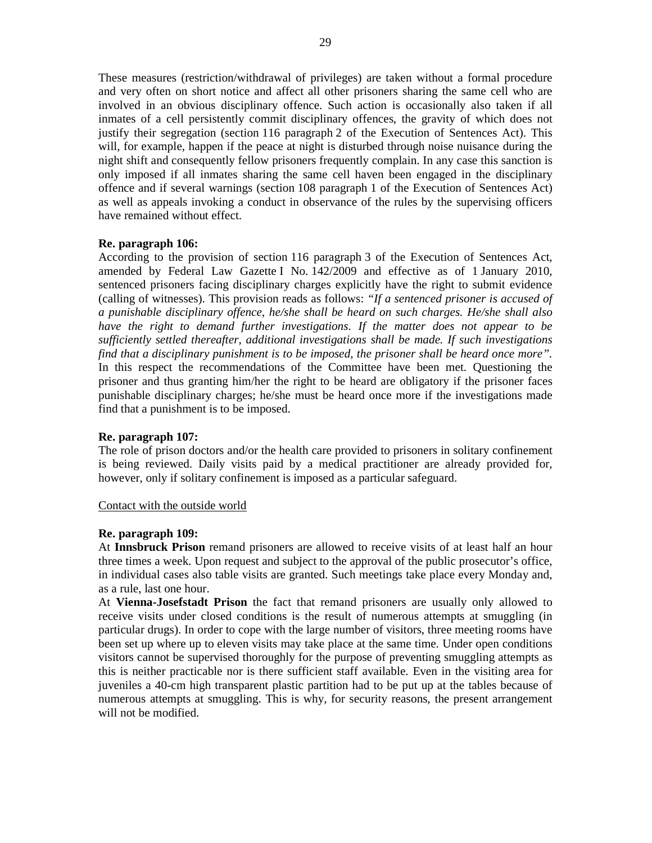These measures (restriction/withdrawal of privileges) are taken without a formal procedure and very often on short notice and affect all other prisoners sharing the same cell who are involved in an obvious disciplinary offence. Such action is occasionally also taken if all inmates of a cell persistently commit disciplinary offences, the gravity of which does not justify their segregation (section 116 paragraph 2 of the Execution of Sentences Act). This will, for example, happen if the peace at night is disturbed through noise nuisance during the night shift and consequently fellow prisoners frequently complain. In any case this sanction is only imposed if all inmates sharing the same cell haven been engaged in the disciplinary offence and if several warnings (section 108 paragraph 1 of the Execution of Sentences Act) as well as appeals invoking a conduct in observance of the rules by the supervising officers have remained without effect.

# **Re. paragraph 106:**

According to the provision of section 116 paragraph 3 of the Execution of Sentences Act, amended by Federal Law Gazette I No. 142/2009 and effective as of 1 January 2010, sentenced prisoners facing disciplinary charges explicitly have the right to submit evidence (calling of witnesses). This provision reads as follows: *"If a sentenced prisoner is accused of a punishable disciplinary offence, he/she shall be heard on such charges. He/she shall also have the right to demand further investigations. If the matter does not appear to be sufficiently settled thereafter, additional investigations shall be made. If such investigations find that a disciplinary punishment is to be imposed, the prisoner shall be heard once more".* In this respect the recommendations of the Committee have been met. Questioning the prisoner and thus granting him/her the right to be heard are obligatory if the prisoner faces punishable disciplinary charges; he/she must be heard once more if the investigations made find that a punishment is to be imposed.

## **Re. paragraph 107:**

The role of prison doctors and/or the health care provided to prisoners in solitary confinement is being reviewed. Daily visits paid by a medical practitioner are already provided for, however, only if solitary confinement is imposed as a particular safeguard.

## Contact with the outside world

## **Re. paragraph 109:**

At **Innsbruck Prison** remand prisoners are allowed to receive visits of at least half an hour three times a week. Upon request and subject to the approval of the public prosecutor's office, in individual cases also table visits are granted. Such meetings take place every Monday and, as a rule, last one hour.

At **Vienna-Josefstadt Prison** the fact that remand prisoners are usually only allowed to receive visits under closed conditions is the result of numerous attempts at smuggling (in particular drugs). In order to cope with the large number of visitors, three meeting rooms have been set up where up to eleven visits may take place at the same time. Under open conditions visitors cannot be supervised thoroughly for the purpose of preventing smuggling attempts as this is neither practicable nor is there sufficient staff available. Even in the visiting area for juveniles a 40-cm high transparent plastic partition had to be put up at the tables because of numerous attempts at smuggling. This is why, for security reasons, the present arrangement will not be modified.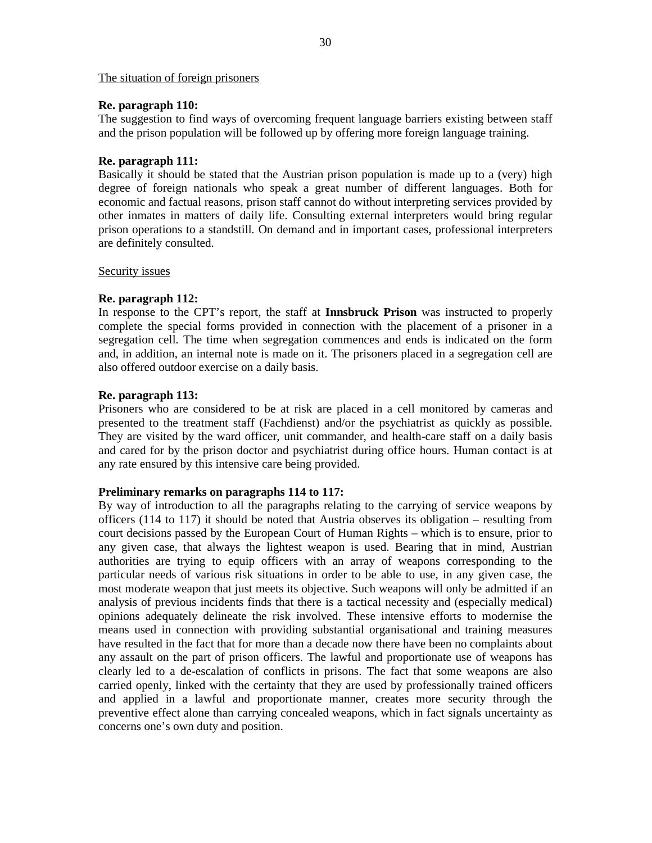#### The situation of foreign prisoners

## **Re. paragraph 110:**

The suggestion to find ways of overcoming frequent language barriers existing between staff and the prison population will be followed up by offering more foreign language training.

#### **Re. paragraph 111:**

Basically it should be stated that the Austrian prison population is made up to a (very) high degree of foreign nationals who speak a great number of different languages. Both for economic and factual reasons, prison staff cannot do without interpreting services provided by other inmates in matters of daily life. Consulting external interpreters would bring regular prison operations to a standstill. On demand and in important cases, professional interpreters are definitely consulted.

#### Security issues

## **Re. paragraph 112:**

In response to the CPT's report, the staff at **Innsbruck Prison** was instructed to properly complete the special forms provided in connection with the placement of a prisoner in a segregation cell. The time when segregation commences and ends is indicated on the form and, in addition, an internal note is made on it. The prisoners placed in a segregation cell are also offered outdoor exercise on a daily basis.

#### **Re. paragraph 113:**

Prisoners who are considered to be at risk are placed in a cell monitored by cameras and presented to the treatment staff (Fachdienst) and/or the psychiatrist as quickly as possible. They are visited by the ward officer, unit commander, and health-care staff on a daily basis and cared for by the prison doctor and psychiatrist during office hours. Human contact is at any rate ensured by this intensive care being provided.

#### **Preliminary remarks on paragraphs 114 to 117:**

By way of introduction to all the paragraphs relating to the carrying of service weapons by officers (114 to 117) it should be noted that Austria observes its obligation – resulting from court decisions passed by the European Court of Human Rights – which is to ensure, prior to any given case, that always the lightest weapon is used. Bearing that in mind, Austrian authorities are trying to equip officers with an array of weapons corresponding to the particular needs of various risk situations in order to be able to use, in any given case, the most moderate weapon that just meets its objective. Such weapons will only be admitted if an analysis of previous incidents finds that there is a tactical necessity and (especially medical) opinions adequately delineate the risk involved. These intensive efforts to modernise the means used in connection with providing substantial organisational and training measures have resulted in the fact that for more than a decade now there have been no complaints about any assault on the part of prison officers. The lawful and proportionate use of weapons has clearly led to a de-escalation of conflicts in prisons. The fact that some weapons are also carried openly, linked with the certainty that they are used by professionally trained officers and applied in a lawful and proportionate manner, creates more security through the preventive effect alone than carrying concealed weapons, which in fact signals uncertainty as concerns one's own duty and position.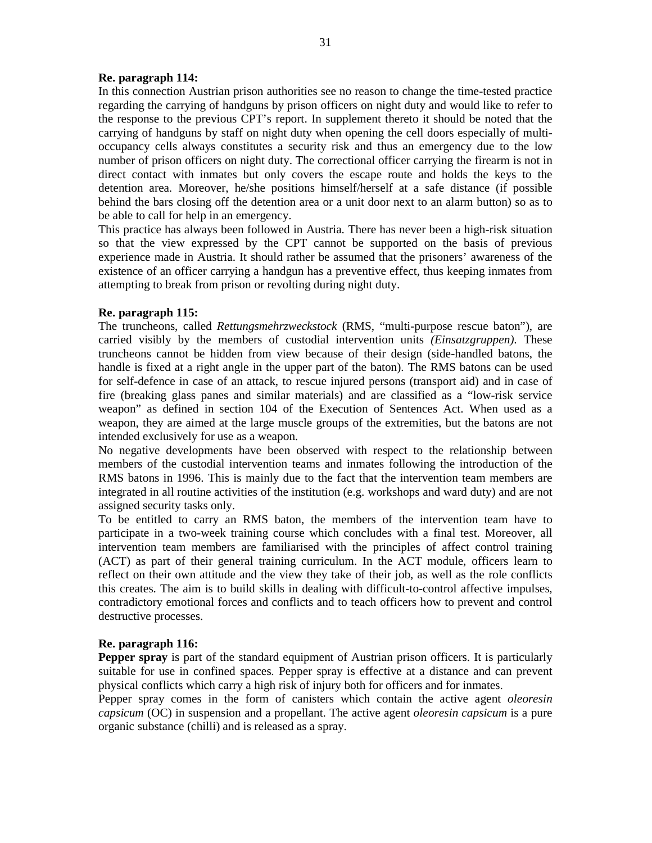## **Re. paragraph 114:**

In this connection Austrian prison authorities see no reason to change the time-tested practice regarding the carrying of handguns by prison officers on night duty and would like to refer to the response to the previous CPT's report. In supplement thereto it should be noted that the carrying of handguns by staff on night duty when opening the cell doors especially of multioccupancy cells always constitutes a security risk and thus an emergency due to the low number of prison officers on night duty. The correctional officer carrying the firearm is not in direct contact with inmates but only covers the escape route and holds the keys to the detention area. Moreover, he/she positions himself/herself at a safe distance (if possible behind the bars closing off the detention area or a unit door next to an alarm button) so as to be able to call for help in an emergency.

This practice has always been followed in Austria. There has never been a high-risk situation so that the view expressed by the CPT cannot be supported on the basis of previous experience made in Austria. It should rather be assumed that the prisoners' awareness of the existence of an officer carrying a handgun has a preventive effect, thus keeping inmates from attempting to break from prison or revolting during night duty.

# **Re. paragraph 115:**

The truncheons, called *Rettungsmehrzweckstock* (RMS, "multi-purpose rescue baton"), are carried visibly by the members of custodial intervention units *(Einsatzgruppen)*. These truncheons cannot be hidden from view because of their design (side-handled batons, the handle is fixed at a right angle in the upper part of the baton). The RMS batons can be used for self-defence in case of an attack, to rescue injured persons (transport aid) and in case of fire (breaking glass panes and similar materials) and are classified as a "low-risk service weapon" as defined in section 104 of the Execution of Sentences Act. When used as a weapon, they are aimed at the large muscle groups of the extremities, but the batons are not intended exclusively for use as a weapon.

No negative developments have been observed with respect to the relationship between members of the custodial intervention teams and inmates following the introduction of the RMS batons in 1996. This is mainly due to the fact that the intervention team members are integrated in all routine activities of the institution (e.g. workshops and ward duty) and are not assigned security tasks only.

To be entitled to carry an RMS baton, the members of the intervention team have to participate in a two-week training course which concludes with a final test. Moreover, all intervention team members are familiarised with the principles of affect control training (ACT) as part of their general training curriculum. In the ACT module, officers learn to reflect on their own attitude and the view they take of their job, as well as the role conflicts this creates. The aim is to build skills in dealing with difficult-to-control affective impulses, contradictory emotional forces and conflicts and to teach officers how to prevent and control destructive processes.

#### **Re. paragraph 116:**

**Pepper spray** is part of the standard equipment of Austrian prison officers. It is particularly suitable for use in confined spaces. Pepper spray is effective at a distance and can prevent physical conflicts which carry a high risk of injury both for officers and for inmates.

Pepper spray comes in the form of canisters which contain the active agent *oleoresin capsicum* (OC) in suspension and a propellant. The active agent *oleoresin capsicum* is a pure organic substance (chilli) and is released as a spray.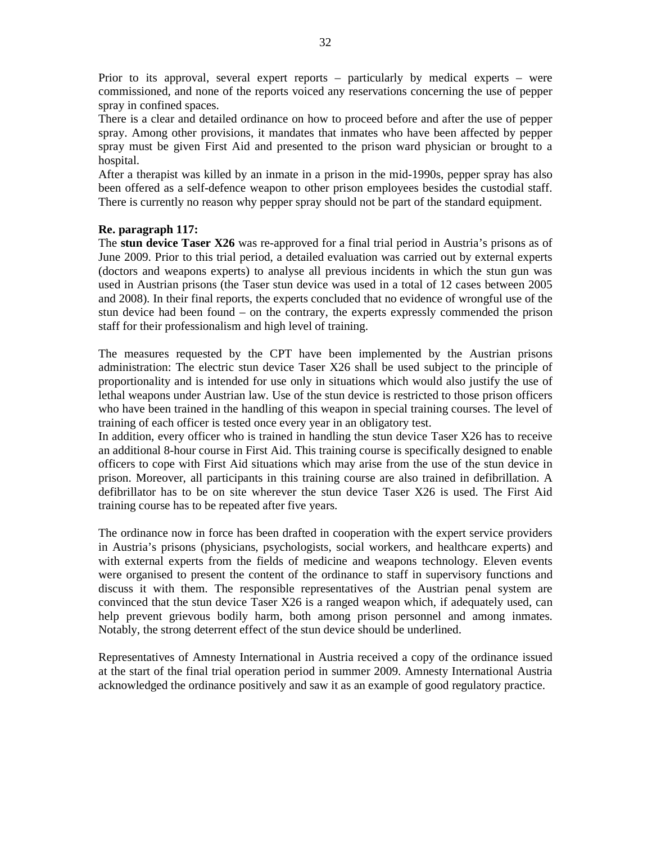Prior to its approval, several expert reports – particularly by medical experts – were commissioned, and none of the reports voiced any reservations concerning the use of pepper spray in confined spaces.

There is a clear and detailed ordinance on how to proceed before and after the use of pepper spray. Among other provisions, it mandates that inmates who have been affected by pepper spray must be given First Aid and presented to the prison ward physician or brought to a hospital.

After a therapist was killed by an inmate in a prison in the mid-1990s, pepper spray has also been offered as a self-defence weapon to other prison employees besides the custodial staff. There is currently no reason why pepper spray should not be part of the standard equipment.

# **Re. paragraph 117:**

The **stun device Taser X26** was re-approved for a final trial period in Austria's prisons as of June 2009. Prior to this trial period, a detailed evaluation was carried out by external experts (doctors and weapons experts) to analyse all previous incidents in which the stun gun was used in Austrian prisons (the Taser stun device was used in a total of 12 cases between 2005 and 2008). In their final reports, the experts concluded that no evidence of wrongful use of the stun device had been found – on the contrary, the experts expressly commended the prison staff for their professionalism and high level of training.

The measures requested by the CPT have been implemented by the Austrian prisons administration: The electric stun device Taser X26 shall be used subject to the principle of proportionality and is intended for use only in situations which would also justify the use of lethal weapons under Austrian law. Use of the stun device is restricted to those prison officers who have been trained in the handling of this weapon in special training courses. The level of training of each officer is tested once every year in an obligatory test.

In addition, every officer who is trained in handling the stun device Taser X26 has to receive an additional 8-hour course in First Aid. This training course is specifically designed to enable officers to cope with First Aid situations which may arise from the use of the stun device in prison. Moreover, all participants in this training course are also trained in defibrillation. A defibrillator has to be on site wherever the stun device Taser X26 is used. The First Aid training course has to be repeated after five years.

The ordinance now in force has been drafted in cooperation with the expert service providers in Austria's prisons (physicians, psychologists, social workers, and healthcare experts) and with external experts from the fields of medicine and weapons technology. Eleven events were organised to present the content of the ordinance to staff in supervisory functions and discuss it with them. The responsible representatives of the Austrian penal system are convinced that the stun device Taser X26 is a ranged weapon which, if adequately used, can help prevent grievous bodily harm, both among prison personnel and among inmates. Notably, the strong deterrent effect of the stun device should be underlined.

Representatives of Amnesty International in Austria received a copy of the ordinance issued at the start of the final trial operation period in summer 2009. Amnesty International Austria acknowledged the ordinance positively and saw it as an example of good regulatory practice.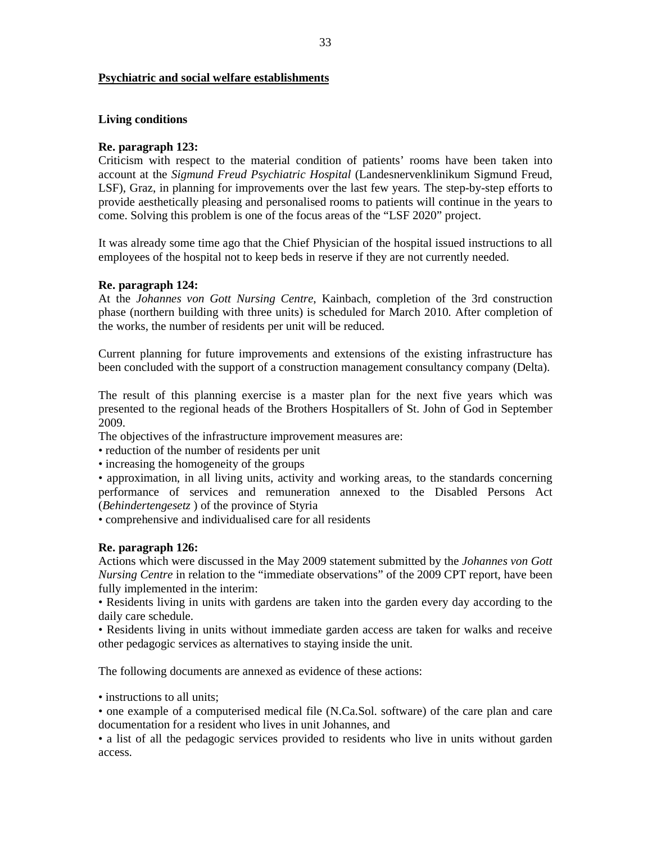# **Psychiatric and social welfare establishments**

## **Living conditions**

# **Re. paragraph 123:**

Criticism with respect to the material condition of patients' rooms have been taken into account at the *Sigmund Freud Psychiatric Hospital* (Landesnervenklinikum Sigmund Freud, LSF), Graz, in planning for improvements over the last few years. The step-by-step efforts to provide aesthetically pleasing and personalised rooms to patients will continue in the years to come. Solving this problem is one of the focus areas of the "LSF 2020" project.

It was already some time ago that the Chief Physician of the hospital issued instructions to all employees of the hospital not to keep beds in reserve if they are not currently needed.

#### **Re. paragraph 124:**

At the *Johannes von Gott Nursing Centre*, Kainbach, completion of the 3rd construction phase (northern building with three units) is scheduled for March 2010. After completion of the works, the number of residents per unit will be reduced.

Current planning for future improvements and extensions of the existing infrastructure has been concluded with the support of a construction management consultancy company (Delta).

The result of this planning exercise is a master plan for the next five years which was presented to the regional heads of the Brothers Hospitallers of St. John of God in September 2009.

The objectives of the infrastructure improvement measures are:

• reduction of the number of residents per unit

• increasing the homogeneity of the groups

• approximation, in all living units, activity and working areas, to the standards concerning performance of services and remuneration annexed to the Disabled Persons Act (*Behindertengesetz* ) of the province of Styria

• comprehensive and individualised care for all residents

## **Re. paragraph 126:**

Actions which were discussed in the May 2009 statement submitted by the *Johannes von Gott Nursing Centre* in relation to the "immediate observations" of the 2009 CPT report, have been fully implemented in the interim:

• Residents living in units with gardens are taken into the garden every day according to the daily care schedule.

• Residents living in units without immediate garden access are taken for walks and receive other pedagogic services as alternatives to staying inside the unit.

The following documents are annexed as evidence of these actions:

• instructions to all units:

• one example of a computerised medical file (N.Ca.Sol. software) of the care plan and care documentation for a resident who lives in unit Johannes, and

• a list of all the pedagogic services provided to residents who live in units without garden access.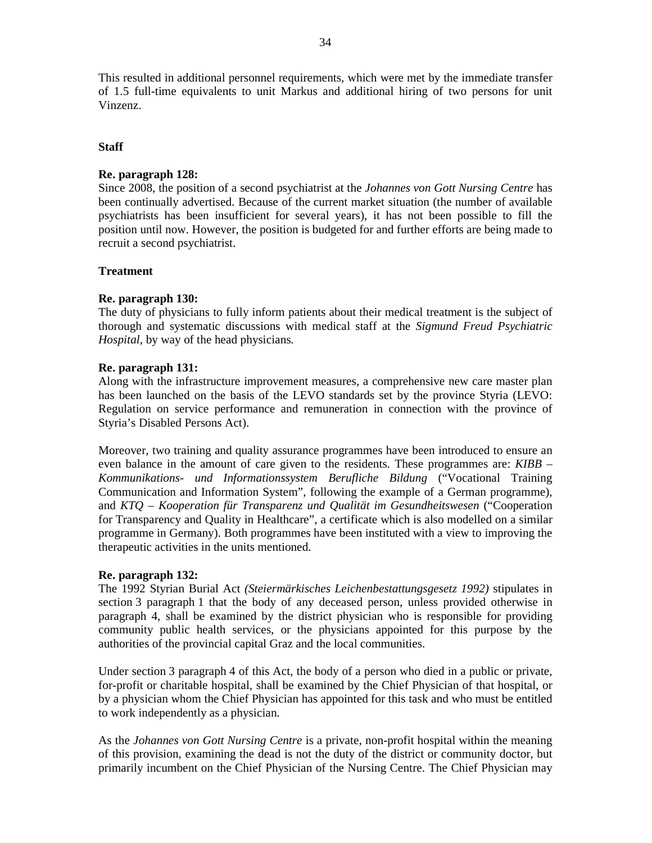This resulted in additional personnel requirements, which were met by the immediate transfer of 1.5 full-time equivalents to unit Markus and additional hiring of two persons for unit Vinzenz.

# **Staff**

# **Re. paragraph 128:**

Since 2008, the position of a second psychiatrist at the *Johannes von Gott Nursing Centre* has been continually advertised. Because of the current market situation (the number of available psychiatrists has been insufficient for several years), it has not been possible to fill the position until now. However, the position is budgeted for and further efforts are being made to recruit a second psychiatrist.

## **Treatment**

# **Re. paragraph 130:**

The duty of physicians to fully inform patients about their medical treatment is the subject of thorough and systematic discussions with medical staff at the *Sigmund Freud Psychiatric Hospital*, by way of the head physicians.

# **Re. paragraph 131:**

Along with the infrastructure improvement measures, a comprehensive new care master plan has been launched on the basis of the LEVO standards set by the province Styria (LEVO: Regulation on service performance and remuneration in connection with the province of Styria's Disabled Persons Act).

Moreover, two training and quality assurance programmes have been introduced to ensure an even balance in the amount of care given to the residents. These programmes are: *KIBB – Kommunikations- und Informationssystem Berufliche Bildung* ("Vocational Training Communication and Information System", following the example of a German programme), and *KTQ – Kooperation für Transparenz und Qualität im Gesundheitswesen* ("Cooperation for Transparency and Quality in Healthcare", a certificate which is also modelled on a similar programme in Germany). Both programmes have been instituted with a view to improving the therapeutic activities in the units mentioned.

## **Re. paragraph 132:**

The 1992 Styrian Burial Act *(Steiermärkisches Leichenbestattungsgesetz 1992)* stipulates in section 3 paragraph 1 that the body of any deceased person, unless provided otherwise in paragraph 4, shall be examined by the district physician who is responsible for providing community public health services, or the physicians appointed for this purpose by the authorities of the provincial capital Graz and the local communities.

Under section 3 paragraph 4 of this Act, the body of a person who died in a public or private, for-profit or charitable hospital, shall be examined by the Chief Physician of that hospital, or by a physician whom the Chief Physician has appointed for this task and who must be entitled to work independently as a physician.

As the *Johannes von Gott Nursing Centre* is a private, non-profit hospital within the meaning of this provision, examining the dead is not the duty of the district or community doctor, but primarily incumbent on the Chief Physician of the Nursing Centre. The Chief Physician may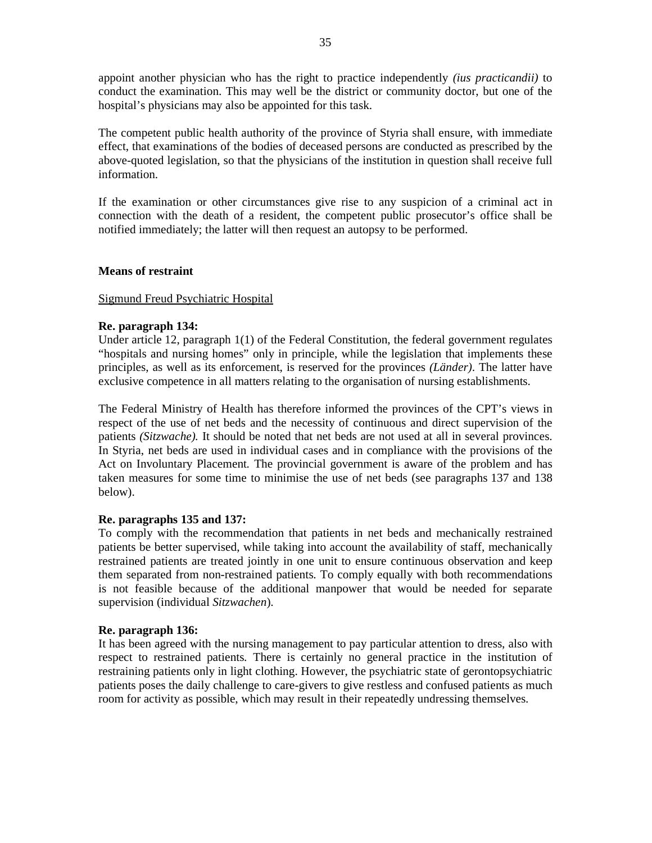appoint another physician who has the right to practice independently *(ius practicandii)* to conduct the examination. This may well be the district or community doctor, but one of the hospital's physicians may also be appointed for this task.

The competent public health authority of the province of Styria shall ensure, with immediate effect, that examinations of the bodies of deceased persons are conducted as prescribed by the above-quoted legislation, so that the physicians of the institution in question shall receive full information.

If the examination or other circumstances give rise to any suspicion of a criminal act in connection with the death of a resident, the competent public prosecutor's office shall be notified immediately; the latter will then request an autopsy to be performed.

# **Means of restraint**

# Sigmund Freud Psychiatric Hospital

## **Re. paragraph 134:**

Under article 12, paragraph 1(1) of the Federal Constitution, the federal government regulates "hospitals and nursing homes" only in principle, while the legislation that implements these principles, as well as its enforcement, is reserved for the provinces *(Länder)*. The latter have exclusive competence in all matters relating to the organisation of nursing establishments.

The Federal Ministry of Health has therefore informed the provinces of the CPT's views in respect of the use of net beds and the necessity of continuous and direct supervision of the patients *(Sitzwache).* It should be noted that net beds are not used at all in several provinces. In Styria, net beds are used in individual cases and in compliance with the provisions of the Act on Involuntary Placement*.* The provincial government is aware of the problem and has taken measures for some time to minimise the use of net beds (see paragraphs 137 and 138 below).

## **Re. paragraphs 135 and 137:**

To comply with the recommendation that patients in net beds and mechanically restrained patients be better supervised, while taking into account the availability of staff, mechanically restrained patients are treated jointly in one unit to ensure continuous observation and keep them separated from non-restrained patients. To comply equally with both recommendations is not feasible because of the additional manpower that would be needed for separate supervision (individual *Sitzwachen*).

# **Re. paragraph 136:**

It has been agreed with the nursing management to pay particular attention to dress, also with respect to restrained patients*.* There is certainly no general practice in the institution of restraining patients only in light clothing. However, the psychiatric state of gerontopsychiatric patients poses the daily challenge to care-givers to give restless and confused patients as much room for activity as possible, which may result in their repeatedly undressing themselves.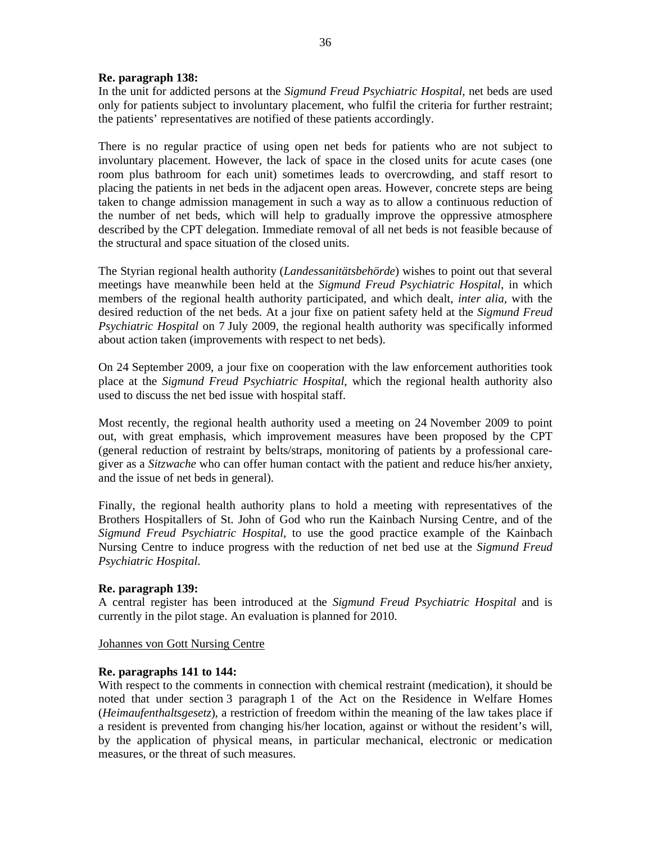# **Re. paragraph 138:**

In the unit for addicted persons at the *Sigmund Freud Psychiatric Hospital,* net beds are used only for patients subject to involuntary placement, who fulfil the criteria for further restraint; the patients' representatives are notified of these patients accordingly.

There is no regular practice of using open net beds for patients who are not subject to involuntary placement. However, the lack of space in the closed units for acute cases (one room plus bathroom for each unit) sometimes leads to overcrowding, and staff resort to placing the patients in net beds in the adjacent open areas. However, concrete steps are being taken to change admission management in such a way as to allow a continuous reduction of the number of net beds, which will help to gradually improve the oppressive atmosphere described by the CPT delegation. Immediate removal of all net beds is not feasible because of the structural and space situation of the closed units.

The Styrian regional health authority (*Landessanitätsbehörde*) wishes to point out that several meetings have meanwhile been held at the *Sigmund Freud Psychiatric Hospital*, in which members of the regional health authority participated, and which dealt, *inter alia,* with the desired reduction of the net beds. At a jour fixe on patient safety held at the *Sigmund Freud Psychiatric Hospital* on 7 July 2009, the regional health authority was specifically informed about action taken (improvements with respect to net beds).

On 24 September 2009, a jour fixe on cooperation with the law enforcement authorities took place at the *Sigmund Freud Psychiatric Hospital*, which the regional health authority also used to discuss the net bed issue with hospital staff.

Most recently, the regional health authority used a meeting on 24 November 2009 to point out, with great emphasis, which improvement measures have been proposed by the CPT (general reduction of restraint by belts/straps, monitoring of patients by a professional caregiver as a *Sitzwache* who can offer human contact with the patient and reduce his/her anxiety, and the issue of net beds in general).

Finally, the regional health authority plans to hold a meeting with representatives of the Brothers Hospitallers of St. John of God who run the Kainbach Nursing Centre, and of the *Sigmund Freud Psychiatric Hospital*, to use the good practice example of the Kainbach Nursing Centre to induce progress with the reduction of net bed use at the *Sigmund Freud Psychiatric Hospital*.

## **Re. paragraph 139:**

A central register has been introduced at the *Sigmund Freud Psychiatric Hospital* and is currently in the pilot stage. An evaluation is planned for 2010.

## Johannes von Gott Nursing Centre

## **Re. paragraphs 141 to 144:**

With respect to the comments in connection with chemical restraint (medication), it should be noted that under section 3 paragraph 1 of the Act on the Residence in Welfare Homes (*Heimaufenthaltsgesetz*), a restriction of freedom within the meaning of the law takes place if a resident is prevented from changing his/her location, against or without the resident's will, by the application of physical means, in particular mechanical, electronic or medication measures, or the threat of such measures.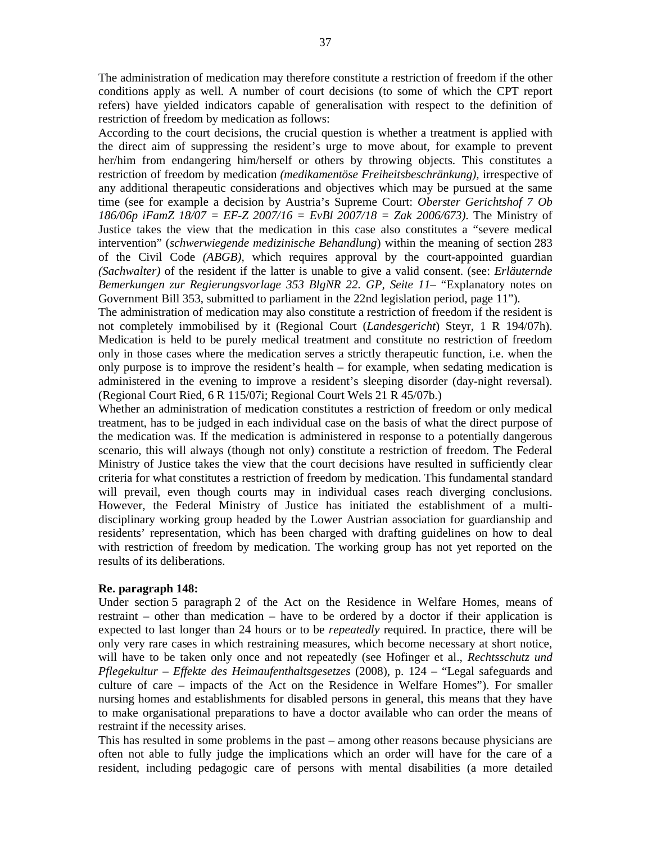The administration of medication may therefore constitute a restriction of freedom if the other conditions apply as well. A number of court decisions (to some of which the CPT report refers) have yielded indicators capable of generalisation with respect to the definition of restriction of freedom by medication as follows:

According to the court decisions, the crucial question is whether a treatment is applied with the direct aim of suppressing the resident's urge to move about, for example to prevent her/him from endangering him/herself or others by throwing objects. This constitutes a restriction of freedom by medication *(medikamentöse Freiheitsbeschränkung),* irrespective of any additional therapeutic considerations and objectives which may be pursued at the same time (see for example a decision by Austria's Supreme Court: *Oberster Gerichtshof 7 Ob 186/06p iFamZ 18/07 = EF-Z 2007/16 = EvBl 2007/18 = Zak 2006/673)*. The Ministry of Justice takes the view that the medication in this case also constitutes a "severe medical intervention" (*schwerwiegende medizinische Behandlung*) within the meaning of section 283 of the Civil Code *(ABGB),* which requires approval by the court-appointed guardian *(Sachwalter)* of the resident if the latter is unable to give a valid consent. (see: *Erläuternde Bemerkungen zur Regierungsvorlage 353 BlgNR 22. GP, Seite 11–* "Explanatory notes on Government Bill 353, submitted to parliament in the 22nd legislation period, page 11").

The administration of medication may also constitute a restriction of freedom if the resident is not completely immobilised by it (Regional Court (*Landesgericht*) Steyr, 1 R 194/07h). Medication is held to be purely medical treatment and constitute no restriction of freedom only in those cases where the medication serves a strictly therapeutic function, i.e. when the only purpose is to improve the resident's health – for example, when sedating medication is administered in the evening to improve a resident's sleeping disorder (day-night reversal). (Regional Court Ried, 6 R 115/07i; Regional Court Wels 21 R 45/07b.)

Whether an administration of medication constitutes a restriction of freedom or only medical treatment, has to be judged in each individual case on the basis of what the direct purpose of the medication was. If the medication is administered in response to a potentially dangerous scenario, this will always (though not only) constitute a restriction of freedom. The Federal Ministry of Justice takes the view that the court decisions have resulted in sufficiently clear criteria for what constitutes a restriction of freedom by medication. This fundamental standard will prevail, even though courts may in individual cases reach diverging conclusions. However, the Federal Ministry of Justice has initiated the establishment of a multidisciplinary working group headed by the Lower Austrian association for guardianship and residents' representation, which has been charged with drafting guidelines on how to deal with restriction of freedom by medication. The working group has not yet reported on the results of its deliberations.

## **Re. paragraph 148:**

Under section 5 paragraph 2 of the Act on the Residence in Welfare Homes, means of restraint – other than medication – have to be ordered by a doctor if their application is expected to last longer than 24 hours or to be *repeatedly* required. In practice, there will be only very rare cases in which restraining measures, which become necessary at short notice, will have to be taken only once and not repeatedly (see Hofinger et al., *Rechtsschutz und Pflegekultur – Effekte des Heimaufenthaltsgesetzes* (2008), p. 124 – "Legal safeguards and culture of care – impacts of the Act on the Residence in Welfare Homes"). For smaller nursing homes and establishments for disabled persons in general, this means that they have to make organisational preparations to have a doctor available who can order the means of restraint if the necessity arises.

This has resulted in some problems in the past – among other reasons because physicians are often not able to fully judge the implications which an order will have for the care of a resident, including pedagogic care of persons with mental disabilities (a more detailed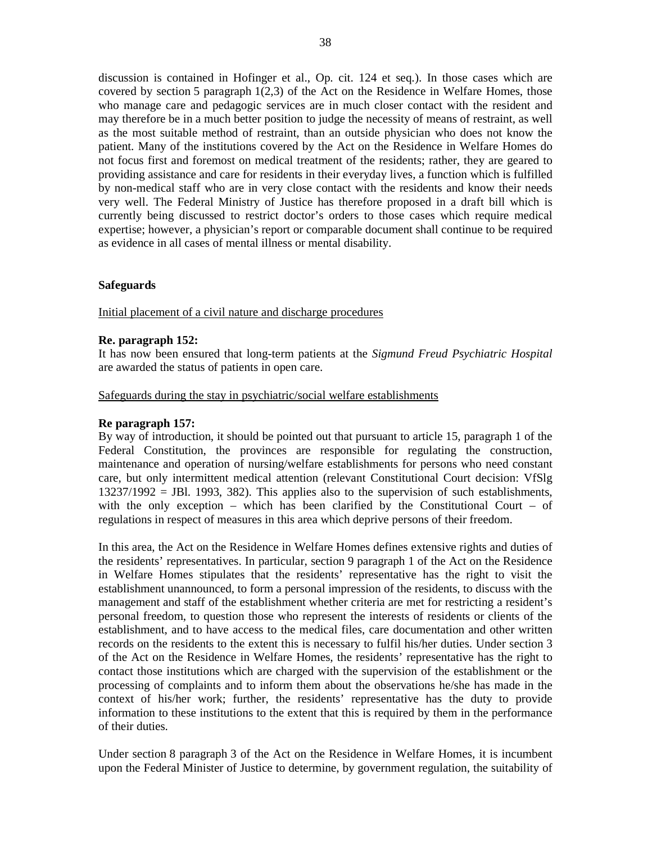discussion is contained in Hofinger et al., Op. cit. 124 et seq.). In those cases which are covered by section 5 paragraph 1(2,3) of the Act on the Residence in Welfare Homes, those who manage care and pedagogic services are in much closer contact with the resident and may therefore be in a much better position to judge the necessity of means of restraint, as well as the most suitable method of restraint, than an outside physician who does not know the patient. Many of the institutions covered by the Act on the Residence in Welfare Homes do not focus first and foremost on medical treatment of the residents; rather, they are geared to providing assistance and care for residents in their everyday lives, a function which is fulfilled by non-medical staff who are in very close contact with the residents and know their needs very well. The Federal Ministry of Justice has therefore proposed in a draft bill which is currently being discussed to restrict doctor's orders to those cases which require medical expertise; however, a physician's report or comparable document shall continue to be required as evidence in all cases of mental illness or mental disability.

## **Safeguards**

Initial placement of a civil nature and discharge procedures

## **Re. paragraph 152:**

It has now been ensured that long-term patients at the *Sigmund Freud Psychiatric Hospital* are awarded the status of patients in open care.

## Safeguards during the stay in psychiatric/social welfare establishments

#### **Re paragraph 157:**

By way of introduction, it should be pointed out that pursuant to article 15, paragraph 1 of the Federal Constitution, the provinces are responsible for regulating the construction, maintenance and operation of nursing/welfare establishments for persons who need constant care, but only intermittent medical attention (relevant Constitutional Court decision: VfSlg  $13237/1992 = JBl. 1993, 382$ . This applies also to the supervision of such establishments, with the only exception – which has been clarified by the Constitutional Court – of regulations in respect of measures in this area which deprive persons of their freedom.

In this area, the Act on the Residence in Welfare Homes defines extensive rights and duties of the residents' representatives. In particular, section 9 paragraph 1 of the Act on the Residence in Welfare Homes stipulates that the residents' representative has the right to visit the establishment unannounced, to form a personal impression of the residents, to discuss with the management and staff of the establishment whether criteria are met for restricting a resident's personal freedom, to question those who represent the interests of residents or clients of the establishment, and to have access to the medical files, care documentation and other written records on the residents to the extent this is necessary to fulfil his/her duties. Under section 3 of the Act on the Residence in Welfare Homes*,* the residents' representative has the right to contact those institutions which are charged with the supervision of the establishment or the processing of complaints and to inform them about the observations he/she has made in the context of his/her work; further, the residents' representative has the duty to provide information to these institutions to the extent that this is required by them in the performance of their duties.

Under section 8 paragraph 3 of the Act on the Residence in Welfare Homes*,* it is incumbent upon the Federal Minister of Justice to determine, by government regulation, the suitability of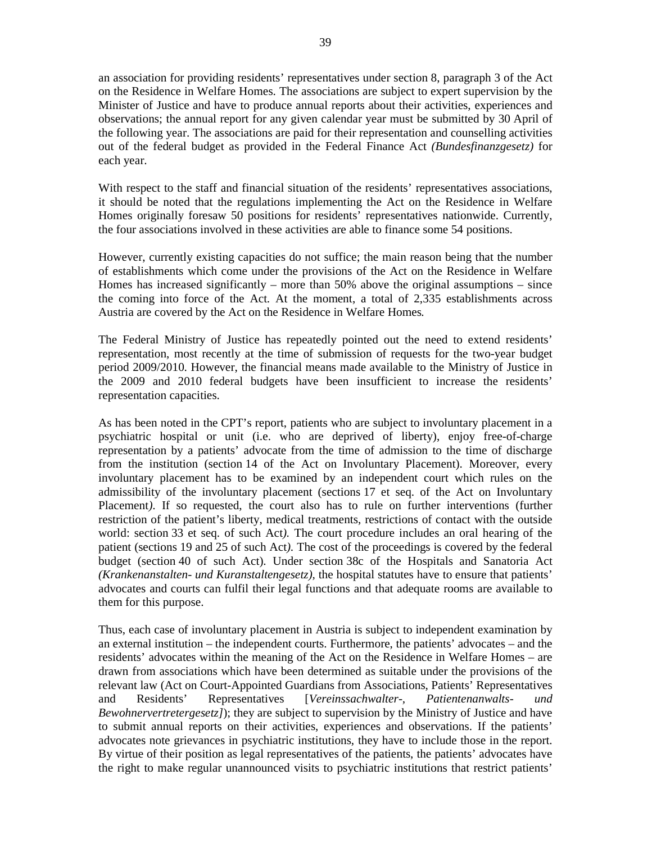an association for providing residents' representatives under section 8, paragraph 3 of the Act on the Residence in Welfare Homes. The associations are subject to expert supervision by the Minister of Justice and have to produce annual reports about their activities, experiences and observations; the annual report for any given calendar year must be submitted by 30 April of the following year. The associations are paid for their representation and counselling activities out of the federal budget as provided in the Federal Finance Act *(Bundesfinanzgesetz)* for each year.

With respect to the staff and financial situation of the residents' representatives associations, it should be noted that the regulations implementing the Act on the Residence in Welfare Homes originally foresaw 50 positions for residents' representatives nationwide. Currently, the four associations involved in these activities are able to finance some 54 positions.

However, currently existing capacities do not suffice; the main reason being that the number of establishments which come under the provisions of the Act on the Residence in Welfare Homes has increased significantly – more than 50% above the original assumptions – since the coming into force of the Act. At the moment, a total of 2,335 establishments across Austria are covered by the Act on the Residence in Welfare Homes*.*

The Federal Ministry of Justice has repeatedly pointed out the need to extend residents' representation, most recently at the time of submission of requests for the two-year budget period 2009/2010. However, the financial means made available to the Ministry of Justice in the 2009 and 2010 federal budgets have been insufficient to increase the residents' representation capacities.

As has been noted in the CPT's report, patients who are subject to involuntary placement in a psychiatric hospital or unit (i.e. who are deprived of liberty), enjoy free-of-charge representation by a patients' advocate from the time of admission to the time of discharge from the institution (section 14 of the Act on Involuntary Placement). Moreover, every involuntary placement has to be examined by an independent court which rules on the admissibility of the involuntary placement (sections 17 et seq. of the Act on Involuntary Placement*)*. If so requested, the court also has to rule on further interventions (further restriction of the patient's liberty, medical treatments, restrictions of contact with the outside world: section 33 et seq. of such Act*).* The court procedure includes an oral hearing of the patient (sections 19 and 25 of such Act*).* The cost of the proceedings is covered by the federal budget (section 40 of such Act). Under section 38c of the Hospitals and Sanatoria Act *(Krankenanstalten- und Kuranstaltengesetz),* the hospital statutes have to ensure that patients' advocates and courts can fulfil their legal functions and that adequate rooms are available to them for this purpose.

Thus, each case of involuntary placement in Austria is subject to independent examination by an external institution – the independent courts. Furthermore, the patients' advocates – and the residents' advocates within the meaning of the Act on the Residence in Welfare Homes – are drawn from associations which have been determined as suitable under the provisions of the relevant law (Act on Court-Appointed Guardians from Associations, Patients' Representatives and Residents' Representatives [*Vereinssachwalter-, Patientenanwalts- und Bewohnervertretergesetz]*); they are subject to supervision by the Ministry of Justice and have to submit annual reports on their activities, experiences and observations. If the patients' advocates note grievances in psychiatric institutions, they have to include those in the report. By virtue of their position as legal representatives of the patients, the patients' advocates have the right to make regular unannounced visits to psychiatric institutions that restrict patients'